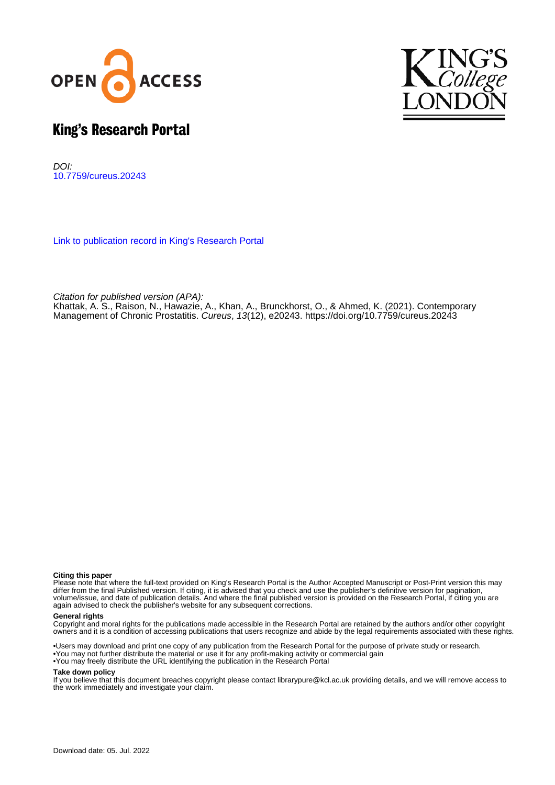



# King's Research Portal

DOI: [10.7759/cureus.20243](https://doi.org/10.7759/cureus.20243)

[Link to publication record in King's Research Portal](https://kclpure.kcl.ac.uk/portal/en/publications/contemporary-management-of-chronic-prostatitis(e11fd385-9f61-48c1-a37b-8826f1df68cf).html)

Citation for published version (APA):

Khattak, A. S[., Raison, N.](https://kclpure.kcl.ac.uk/portal/en/persons/nicholas-raison(79357054-3072-40c4-98c4-35ad943c7ac5).html), Hawazie, A., Khan, A[., Brunckhorst, O.](https://kclpure.kcl.ac.uk/portal/en/persons/oliver-brunckhorst(7bd0ab93-e98d-40c4-afda-01ee0ed94e00).html)[, & Ahmed, K.](https://kclpure.kcl.ac.uk/portal/en/persons/kamran-ahmed(97cdfa77-5586-435a-8b56-6acfeae2f9b2).html) (2021). [Contemporary](https://kclpure.kcl.ac.uk/portal/en/publications/contemporary-management-of-chronic-prostatitis(e11fd385-9f61-48c1-a37b-8826f1df68cf).html) [Management of Chronic Prostatitis](https://kclpure.kcl.ac.uk/portal/en/publications/contemporary-management-of-chronic-prostatitis(e11fd385-9f61-48c1-a37b-8826f1df68cf).html). [Cureus](https://kclpure.kcl.ac.uk/portal/en/journals/cureus(7eea9b35-133a-4ab3-8330-58e500f0ec90).html), 13(12), e20243.<https://doi.org/10.7759/cureus.20243>

#### **Citing this paper**

Please note that where the full-text provided on King's Research Portal is the Author Accepted Manuscript or Post-Print version this may differ from the final Published version. If citing, it is advised that you check and use the publisher's definitive version for pagination, volume/issue, and date of publication details. And where the final published version is provided on the Research Portal, if citing you are again advised to check the publisher's website for any subsequent corrections.

### **General rights**

Copyright and moral rights for the publications made accessible in the Research Portal are retained by the authors and/or other copyright owners and it is a condition of accessing publications that users recognize and abide by the legal requirements associated with these rights.

•Users may download and print one copy of any publication from the Research Portal for the purpose of private study or research. •You may not further distribute the material or use it for any profit-making activity or commercial gain •You may freely distribute the URL identifying the publication in the Research Portal

### **Take down policy**

If you believe that this document breaches copyright please contact librarypure@kcl.ac.uk providing details, and we will remove access to the work immediately and investigate your claim.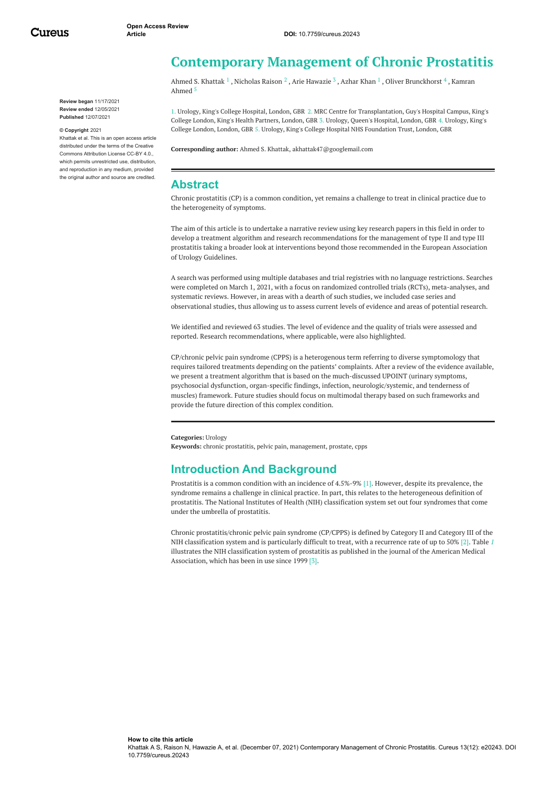<span id="page-1-0"></span>**Review began** 11/17/2021 **Review ended** 12/05/2021 **Published** 12/07/2021

#### **© Copyright** 2021

Khattak et al. This is an open access article distributed under the terms of the Creative Commons Attribution License CC-BY 4.0., which permits unrestricted use, distribution, and reproduction in any medium, provided the original author and source are credited.

# **Contemporary Management of Chronic Prostatitis**

Ahmed S. [Khattak](https://www.cureus.com/users/283696-ahmed-s-khattak)  $^1$  , [Nicholas](https://www.cureus.com/users/205758-nicholas-raison) Raison  $^2$  , Arie [Hawazie](https://www.cureus.com/users/283706-arie-hawazie)  $^3$  , [Azhar](https://www.cureus.com/users/214027-azhar-khan-) Khan  $^1$  , Oliver [Brunckhorst](https://www.cureus.com/users/283707-oliver-brunckhorst)  $^4$  , Kamran Ahmed 5

1. Urology, King's College Hospital, London, GBR 2. MRC Centre for Transplantation, Guy's Hospital Campus, King's College London, King's Health Partners, London, GBR 3. Urology, Queen's Hospital, London, GBR 4. Urology, King's College London, London, GBR 5. Urology, King's College Hospital NHS Foundation Trust, London, GBR

**Corresponding author:** Ahmed S. Khattak, akhattak47@googlemail.com

# **Abstract**

Chronic prostatitis (CP) is a common condition, yet remains a challenge to treat in clinical practice due to the heterogeneity of symptoms.

The aim of this article is to undertake a narrative review using key research papers in this field in order to develop a treatment algorithm and research recommendations for the management of type II and type III prostatitis taking a broader look at interventions beyond those recommended in the European Association of Urology Guidelines.

A search was performed using multiple databases and trial registries with no language restrictions. Searches were completed on March 1, 2021, with a focus on randomized controlled trials (RCTs), meta-analyses, and systematic reviews. However, in areas with a dearth of such studies, we included case series and observational studies, thus allowing us to assess current levels of evidence and areas of potential research.

We identified and reviewed 63 studies. The level of evidence and the quality of trials were assessed and reported. Research recommendations, where applicable, were also highlighted.

CP/chronic pelvic pain syndrome (CPPS) is a heterogenous term referring to diverse symptomology that requires tailored treatments depending on the patients' complaints. After a review of the evidence available, we present a treatment algorithm that is based on the much-discussed UPOINT (urinary symptoms, psychosocial dysfunction, organ-specific findings, infection, neurologic/systemic, and tenderness of muscles) framework. Future studies should focus on multimodal therapy based on such frameworks and provide the future direction of this complex condition.

#### **Categories:** Urology

**Keywords:** chronic prostatitis, pelvic pain, management, prostate, cpps

# **Introduction And Background**

Prostatitis is a common condition with an incidence of 4.5%-9% [1]. However, despite its prevalence, the syndrome remains a challenge in clinical practice. In part, this relates to the heterogeneous definition of prostatitis. The National Institutes of Health (NIH) classification system set out four syndromes that come under the umbrella of prostatitis.

Chronic prostatitis/chronic pelvic pain syndrome (CP/CPPS) is defined by Category II and Category III of the NIH classification system and is particularly difficult to treat, with a recurrence rate of up to 50% [2]. Table *[1](#page-1-0)* illustrates the NIH classification system of prostatitis as published in the journal of the American Medical Association, which has been in use since 1999 [3].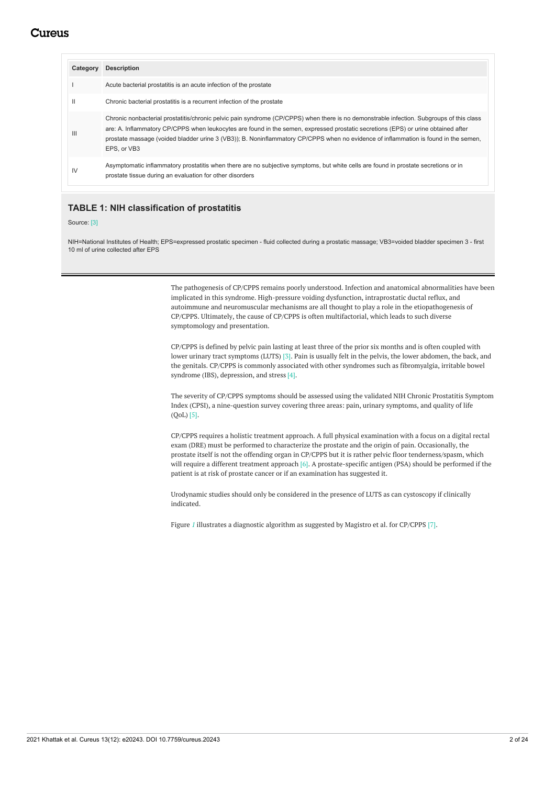<span id="page-2-0"></span>

| Category       | <b>Description</b>                                                                                                                                                                                                                                                                                                                                                                                                                  |
|----------------|-------------------------------------------------------------------------------------------------------------------------------------------------------------------------------------------------------------------------------------------------------------------------------------------------------------------------------------------------------------------------------------------------------------------------------------|
|                | Acute bacterial prostatitis is an acute infection of the prostate                                                                                                                                                                                                                                                                                                                                                                   |
| Ш              | Chronic bacterial prostatitis is a recurrent infection of the prostate                                                                                                                                                                                                                                                                                                                                                              |
| $\mathbf{III}$ | Chronic nonbacterial prostatitis/chronic pelvic pain syndrome (CP/CPPS) when there is no demonstrable infection. Subgroups of this class<br>are: A. Inflammatory CP/CPPS when leukocytes are found in the semen, expressed prostatic secretions (EPS) or urine obtained after<br>prostate massage (voided bladder urine 3 (VB3)); B. Noninflammatory CP/CPPS when no evidence of inflammation is found in the semen,<br>EPS. or VB3 |
| IV             | Asymptomatic inflammatory prostatitis when there are no subjective symptoms, but white cells are found in prostate secretions or in<br>prostate tissue during an evaluation for other disorders                                                                                                                                                                                                                                     |

## **TABLE 1: NIH classification of prostatitis**

### Source: [3]

NIH=National Institutes of Health; EPS=expressed prostatic specimen - fluid collected during a prostatic massage; VB3=voided bladder specimen 3 - first 10 ml of urine collected after EPS

> The pathogenesis of CP/CPPS remains poorly understood. Infection and anatomical abnormalities have been implicated in this syndrome. High-pressure voiding dysfunction, intraprostatic ductal reflux, and autoimmune and neuromuscular mechanisms are all thought to play a role in the etiopathogenesis of CP/CPPS. Ultimately, the cause of CP/CPPS is often multifactorial, which leads to such diverse symptomology and presentation.

> CP/CPPS is defined by pelvic pain lasting at least three of the prior six months and is often coupled with lower urinary tract symptoms (LUTS) [3]. Pain is usually felt in the pelvis, the lower abdomen, the back, and the genitals. CP/CPPS is commonly associated with other syndromes such as fibromyalgia, irritable bowel syndrome (IBS), depression, and stress [4].

> The severity of CP/CPPS symptoms should be assessed using the validated NIH Chronic Prostatitis Symptom Index (CPSI), a nine-question survey covering three areas: pain, urinary symptoms, and quality of life (QoL) [5].

> CP/CPPS requires a holistic treatment approach. A full physical examination with a focus on a digital rectal exam (DRE) must be performed to characterize the prostate and the origin of pain. Occasionally, the prostate itself is not the offending organ in CP/CPPS but it is rather pelvic floor tenderness/spasm, which will require a different treatment approach [6]. A prostate-specific antigen (PSA) should be performed if the patient is at risk of prostate cancer or if an examination has suggested it.

Urodynamic studies should only be considered in the presence of LUTS as can cystoscopy if clinically indicated.

Figure [1](#page-2-0) illustrates a diagnostic algorithm as suggested by Magistro et al. for CP/CPPS [7].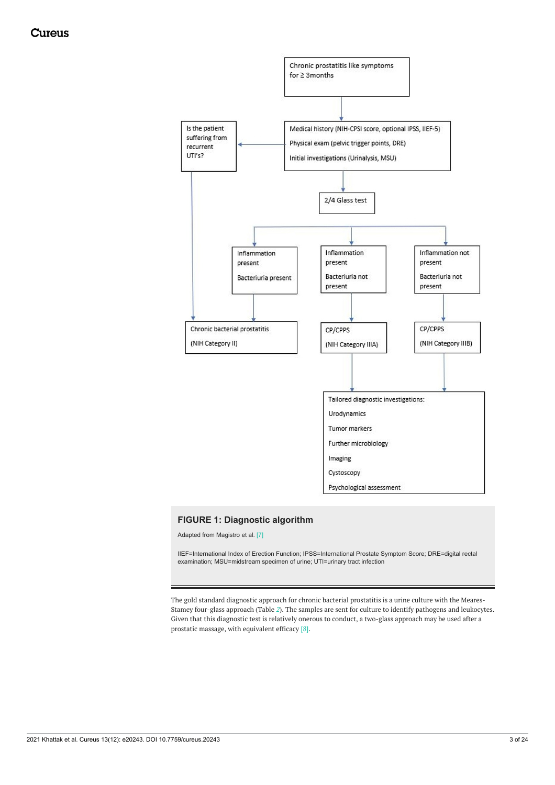<span id="page-3-0"></span>

# **FIGURE 1: Diagnostic algorithm**

Adapted from Magistro et al. [7]

IIEF=International Index of Erection Function; IPSS=International Prostate Symptom Score; DRE=digital rectal examination; MSU=midstream specimen of urine; UTI=urinary tract infection

The gold standard diagnostic approach for chronic bacterial prostatitis is a urine culture with the Meares-Stamey four-glass approach (Table *[2](#page-3-0)*). The samples are sent for culture to identify pathogens and leukocytes. Given that this diagnostic test is relatively onerous to conduct, a two-glass approach may be used after a prostatic massage, with equivalent efficacy [8].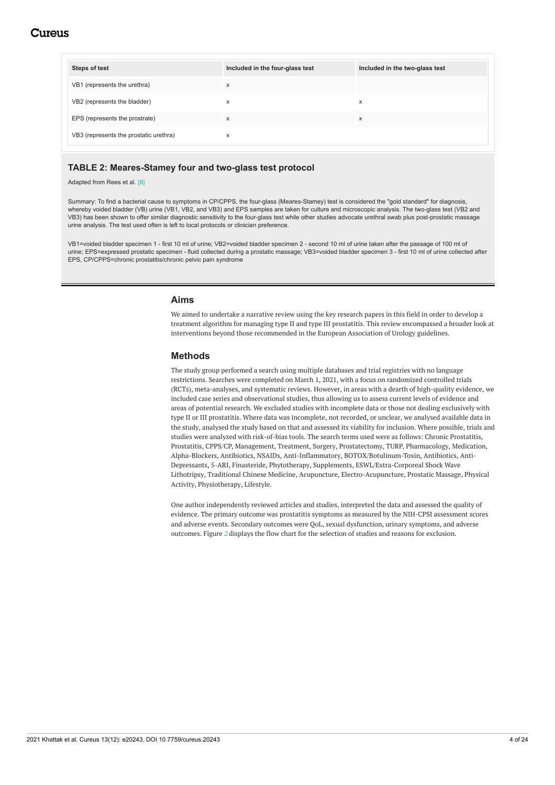<span id="page-4-0"></span>

| Steps of test                          | Included in the four-glass test | Included in the two-glass test |
|----------------------------------------|---------------------------------|--------------------------------|
| VB1 (represents the urethra)           | X                               |                                |
| VB2 (represents the bladder)           | X                               | X                              |
| EPS (represents the prostrate)         | X                               | X                              |
| VB3 (represents the prostatic urethra) | x                               |                                |

### **TABLE 2: Meares-Stamey four and two-glass test protocol**

Adapted from Rees et al. [8]

Summary: To find a bacterial cause to symptoms in CP/CPPS, the four-glass (Meares-Stamey) test is considered the "gold standard" for diagnosis, whereby voided bladder (VB) urine (VB1, VB2, and VB3) and EPS samples are taken for culture and microscopic analysis. The two-glass test (VB2 and VB3) has been shown to offer similar diagnostic sensitivity to the four-glass test while other studies advocate urethral swab plus post-prostatic massage urine analysis. The test used often is left to local protocols or clinician preference.

VB1=voided bladder specimen 1 - first 10 ml of urine; VB2=voided bladder specimen 2 - second 10 ml of urine taken after the passage of 100 ml of urine; EPS=expressed prostatic specimen - fluid collected during a prostatic massage; VB3=voided bladder specimen 3 - first 10 ml of urine collected after EPS, CP/CPPS=chronic prostatitis/chronic pelvic pain syndrome

### **Aims**

We aimed to undertake a narrative review using the key research papers in this field in order to develop a treatment algorithm for managing type II and type III prostatitis. This review encompassed a broader look at interventions beyond those recommended in the European Association of Urology guidelines.

### **Methods**

The study group performed a search using multiple databases and trial registries with no language restrictions. Searches were completed on March 1, 2021, with a focus on randomized controlled trials (RCTs), meta-analyses, and systematic reviews. However, in areas with a dearth of high-quality evidence, we included case series and observational studies, thus allowing us to assess current levels of evidence and areas of potential research. We excluded studies with incomplete data or those not dealing exclusively with type II or III prostatitis. Where data was incomplete, not recorded, or unclear, we analysed available data in the study, analysed the study based on that and assessed its viability for inclusion. Where possible, trials and studies were analyzed with risk-of-bias tools. The search terms used were as follows: Chronic Prostatitis, Prostatitis, CPPS/CP, Management, Treatment, Surgery, Prostatectomy, TURP, Pharmacology, Medication, Alpha-Blockers, Antibiotics, NSAIDs, Anti-Inflammatory, BOTOX/Botulinum-Toxin, Antibiotics, Anti-Depressants, 5-ARI, Finasteride, Phytotherapy, Supplements, ESWL/Extra-Corporeal Shock Wave Lithotripsy, Traditional Chinese Medicine, Acupuncture, Electro-Acupuncture, Prostatic Massage, Physical Activity, Physiotherapy, Lifestyle.

One author independently reviewed articles and studies, interpreted the data and assessed the quality of evidence. The primary outcome was prostatitis symptoms as measured by the NIH-CPSI assessment scores and adverse events. Secondary outcomes were QoL, sexual dysfunction, urinary symptoms, and adverse outcomes. Figure *[2](#page-4-0)* displays the flow chart for the selection of studies and reasons for exclusion.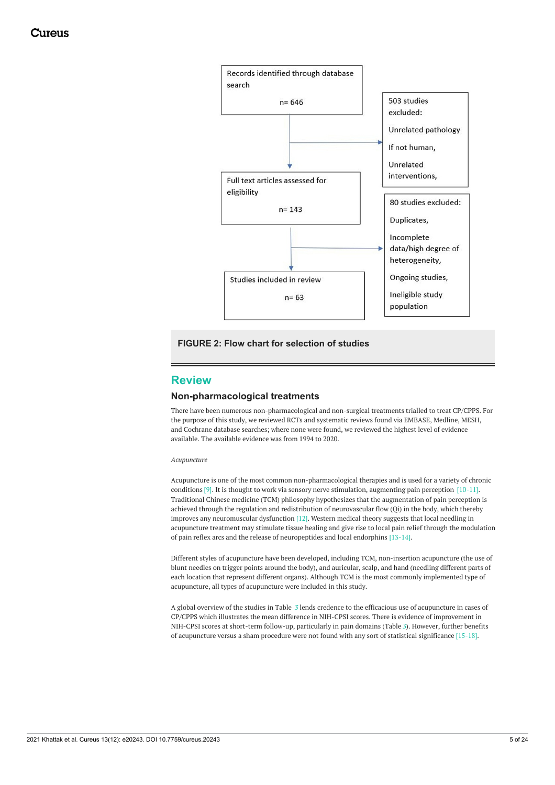<span id="page-5-0"></span>

# <span id="page-5-1"></span>**FIGURE 2: Flow chart for selection of studies**

# **Review**

### **Non-pharmacological treatments**

There have been numerous non-pharmacological and non-surgical treatments trialled to treat CP/CPPS. For the purpose of this study, we reviewed RCTs and systematic reviews found via EMBASE, Medline, MESH, and Cochrane database searches; where none were found, we reviewed the highest level of evidence available. The available evidence was from 1994 to 2020.

#### *Acupuncture*

Acupuncture is one of the most common non-pharmacological therapies and is used for a variety of chronic conditions [9]. It is thought to work via sensory nerve stimulation, augmenting pain perception [10-11]. Traditional Chinese medicine (TCM) philosophy hypothesizes that the augmentation of pain perception is achieved through the regulation and redistribution of neurovascular flow (Qi) in the body, which thereby improves any neuromuscular dysfunction  $[12]$ . Western medical theory suggests that local needling in acupuncture treatment may stimulate tissue healing and give rise to local pain relief through the modulation of pain reflex arcs and the release of neuropeptides and local endorphins [13-14].

Different styles of acupuncture have been developed, including TCM, non-insertion acupuncture (the use of blunt needles on trigger points around the body), and auricular, scalp, and hand (needling different parts of each location that represent different organs). Although TCM is the most commonly implemented type of acupuncture, all types of acupuncture were included in this study.

A global overview of the studies in Table *[3](#page-5-0)* lends credence to the efficacious use of acupuncture in cases of CP/CPPS which illustrates the mean difference in NIH-CPSI scores. There is evidence of improvement in NIH-CPSI scores at short-term follow-up, particularly in pain domains (Table *[3](#page-5-0)*). However, further benefits of acupuncture versus a sham procedure were not found with any sort of statistical significance [15-18].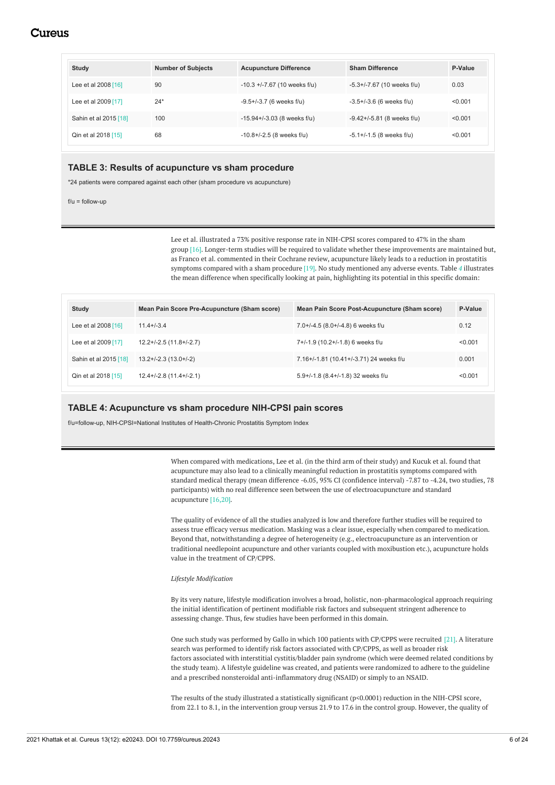| Study                 | <b>Number of Subjects</b> | <b>Acupuncture Difference</b>    | <b>Sham Difference</b>          | P-Value |
|-----------------------|---------------------------|----------------------------------|---------------------------------|---------|
| Lee et al 2008 [16]   | 90                        | $-10.3 + -7.67$ (10 weeks f/u)   | $-5.3+/-7.67$ (10 weeks f/u)    | 0.03    |
| Lee et al 2009 [17]   | $24*$                     | $-9.5+/-3.7$ (6 weeks f/u)       | $-3.5+/-3.6$ (6 weeks f/u)      | < 0.001 |
| Sahin et al 2015 [18] | 100                       | $-15.94 + (-3.03)$ (8 weeks f/u) | $-9.42 + (-5.81)$ (8 weeks f/u) | < 0.001 |
| Qin et al 2018 [15]   | 68                        | $-10.8 + (-2.5)$ (8 weeks f/u)   | $-5.1 + (-1.5)$ (8 weeks f/u)   | < 0.001 |

# **TABLE 3: Results of acupuncture vs sham procedure**

\*24 patients were compared against each other (sham procedure vs acupuncture)

 $f/u = f$ ollow-up

Lee et al. illustrated a 73% positive response rate in NIH-CPSI scores compared to 47% in the sham group [16]. Longer-term studies will be required to validate whether these improvements are maintained but, as Franco et al. commented in their Cochrane review, acupuncture likely leads to a reduction in prostatitis symptoms compared with a sham procedure [19]. No study mentioned any adverse events. Table *[4](#page-5-1)* illustrates the mean difference when specifically looking at pain, highlighting its potential in this specific domain:

| Study                 | Mean Pain Score Pre-Acupuncture (Sham score) | Mean Pain Score Post-Acupuncture (Sham score) | P-Value |
|-----------------------|----------------------------------------------|-----------------------------------------------|---------|
| Lee et al 2008 [16]   | $11.4 + (-3.4)$                              | 7.0+/-4.5 (8.0+/-4.8) 6 weeks f/u             | 0.12    |
| Lee et al 2009 [17]   | $12.2+/-2.5(11.8+/-2.7)$                     | 7+/-1.9 (10.2+/-1.8) 6 weeks f/u              | < 0.001 |
| Sahin et al 2015 [18] | $13.2 + (-2.3) (13.0 + (-2))$                | 7.16+/-1.81 (10.41+/-3.71) 24 weeks f/u       | 0.001   |
| Qin et al 2018 [15]   | $12.4 + (-2.8) (11.4 + (-2.1))$              | 5.9+/-1.8 (8.4+/-1.8) 32 weeks f/u            | < 0.001 |

### **TABLE 4: Acupuncture vs sham procedure NIH-CPSI pain scores**

f/u=follow-up, NIH-CPSI=National Institutes of Health-Chronic Prostatitis Symptom Index

When compared with medications, Lee et al. (in the third arm of their study) and Kucuk et al. found that acupuncture may also lead to a clinically meaningful reduction in prostatitis symptoms compared with standard medical therapy (mean difference -6.05, 95% CI (confidence interval) -7.87 to -4.24, two studies, 78 participants) with no real difference seen between the use of electroacupuncture and standard acupuncture [16,20].

The quality of evidence of all the studies analyzed is low and therefore further studies will be required to assess true efficacy versus medication. Masking was a clear issue, especially when compared to medication. Beyond that, notwithstanding a degree of heterogeneity (e.g., electroacupuncture as an intervention or traditional needlepoint acupuncture and other variants coupled with moxibustion etc.), acupuncture holds value in the treatment of CP/CPPS.

### *Lifestyle Modification*

By its very nature, lifestyle modification involves a broad, holistic, non-pharmacological approach requiring the initial identification of pertinent modifiable risk factors and subsequent stringent adherence to assessing change. Thus, few studies have been performed in this domain.

One such study was performed by Gallo in which 100 patients with CP/CPPS were recruited [21]. A literature search was performed to identify risk factors associated with CP/CPPS, as well as broader risk factors associated with interstitial cystitis/bladder pain syndrome (which were deemed related conditions by the study team). A lifestyle guideline was created, and patients were randomized to adhere to the guideline and a prescribed nonsteroidal anti-inflammatory drug (NSAID) or simply to an NSAID.

The results of the study illustrated a statistically significant (p<0.0001) reduction in the NIH-CPSI score, from 22.1 to 8.1, in the intervention group versus 21.9 to 17.6 in the control group. However, the quality of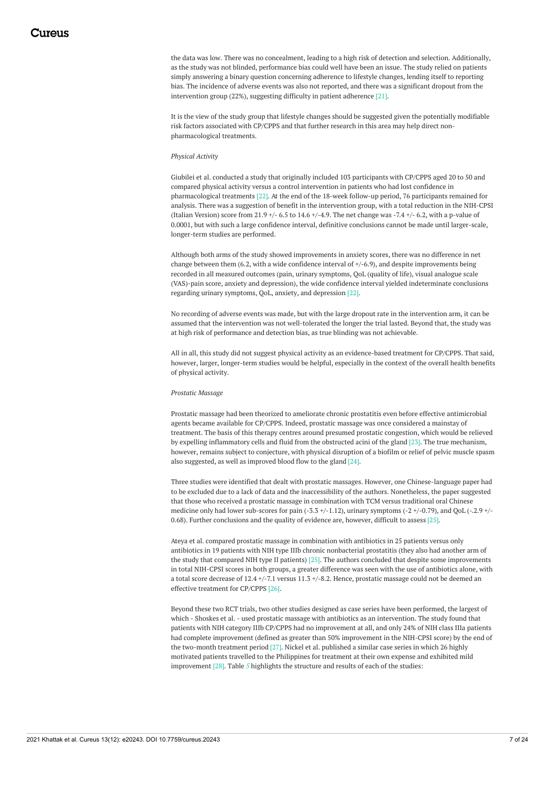<span id="page-7-0"></span>the data was low. There was no concealment, leading to a high risk of detection and selection. Additionally, as the study was not blinded, performance bias could well have been an issue. The study relied on patients simply answering a binary question concerning adherence to lifestyle changes, lending itself to reporting bias. The incidence of adverse events was also not reported, and there was a significant dropout from the intervention group (22%), suggesting difficulty in patient adherence [21].

It is the view of the study group that lifestyle changes should be suggested given the potentially modifiable risk factors associated with CP/CPPS and that further research in this area may help direct nonpharmacological treatments.

### *Physical Activity*

Giubilei et al. conducted a study that originally included 103 participants with CP/CPPS aged 20 to 50 and compared physical activity versus a control intervention in patients who had lost confidence in pharmacological treatments [22]. At the end of the 18-week follow-up period, 76 participants remained for analysis. There was a suggestion of benefit in the intervention group, with a total reduction in the NIH-CPSI (Italian Version) score from 21.9 +/- 6.5 to 14.6 +/-4.9. The net change was -7.4 +/- 6.2, with a p-value of 0.0001, but with such a large confidence interval, definitive conclusions cannot be made until larger-scale, longer-term studies are performed.

Although both arms of the study showed improvements in anxiety scores, there was no difference in net change between them  $(6.2, \text{with a wide confidence interval of } +/6.9)$ , and despite improvements being recorded in all measured outcomes (pain, urinary symptoms, QoL (quality of life), visual analogue scale (VAS)-pain score, anxiety and depression), the wide confidence interval yielded indeterminate conclusions regarding urinary symptoms, QoL, anxiety, and depression [22].

No recording of adverse events was made, but with the large dropout rate in the intervention arm, it can be assumed that the intervention was not well-tolerated the longer the trial lasted. Beyond that, the study was at high risk of performance and detection bias, as true blinding was not achievable.

All in all, this study did not suggest physical activity as an evidence-based treatment for CP/CPPS. That said, however, larger, longer-term studies would be helpful, especially in the context of the overall health benefits of physical activity.

#### *Prostatic Massage*

Prostatic massage had been theorized to ameliorate chronic prostatitis even before effective antimicrobial agents became available for CP/CPPS. Indeed, prostatic massage was once considered a mainstay of treatment. The basis of this therapy centres around presumed prostatic congestion, which would be relieved by expelling inflammatory cells and fluid from the obstructed acini of the gland [23]. The true mechanism, however, remains subject to conjecture, with physical disruption of a biofilm or relief of pelvic muscle spasm also suggested, as well as improved blood flow to the gland [24].

Three studies were identified that dealt with prostatic massages. However, one Chinese-language paper had to be excluded due to a lack of data and the inaccessibility of the authors. Nonetheless, the paper suggested that those who received a prostatic massage in combination with TCM versus traditional oral Chinese medicine only had lower sub-scores for pain  $(-3.3 + (-1.12))$ , urinary symptoms  $(-2 + (-0.79))$ , and OoL  $(-2.9 + (-0.79))$ 0.68). Further conclusions and the quality of evidence are, however, difficult to assess [25].

Ateya et al. compared prostatic massage in combination with antibiotics in 25 patients versus only antibiotics in 19 patients with NIH type IIIb chronic nonbacterial prostatitis (they also had another arm of the study that compared NIH type II patients) [25]. The authors concluded that despite some improvements in total NIH-CPSI scores in both groups, a greater difference was seen with the use of antibiotics alone, with a total score decrease of 12.4 +/-7.1 versus 11.3 +/-8.2. Hence, prostatic massage could not be deemed an effective treatment for CP/CPPS [26].

Beyond these two RCT trials, two other studies designed as case series have been performed, the largest of which - Shoskes et al. - used prostatic massage with antibiotics as an intervention. The study found that patients with NIH category IIIb CP/CPPS had no improvement at all, and only 24% of NIH class IIIa patients had complete improvement (defined as greater than 50% improvement in the NIH-CPSI score) by the end of the two-month treatment period [27]. Nickel et al. published a similar case series in which 26 highly motivated patients travelled to the Philippines for treatment at their own expense and exhibited mild improvement [28]. Table *[5](#page-7-0)* highlights the structure and results of each of the studies: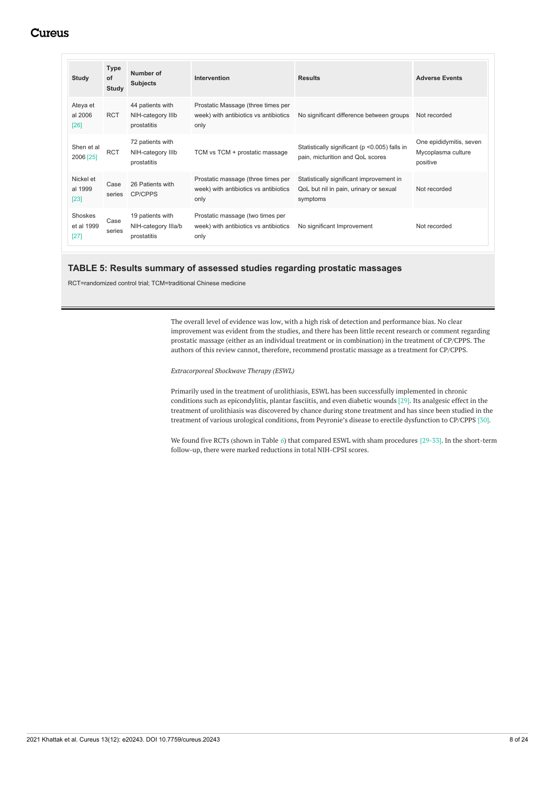<span id="page-8-0"></span>

| Study                           | <b>Type</b><br>of<br>Study | Number of<br><b>Subjects</b>                           | Intervention                                                                        | <b>Results</b>                                                                                 | <b>Adverse Events</b>                                     |
|---------------------------------|----------------------------|--------------------------------------------------------|-------------------------------------------------------------------------------------|------------------------------------------------------------------------------------------------|-----------------------------------------------------------|
| Ateya et<br>al 2006<br>[26]     | <b>RCT</b>                 | 44 patients with<br>NIH-category IIIb<br>prostatitis   | Prostatic Massage (three times per<br>week) with antibiotics vs antibiotics<br>only | No significant difference between groups                                                       | Not recorded                                              |
| Shen et al<br>2006 [25]         | <b>RCT</b>                 | 72 patients with<br>NIH-category IIIb<br>prostatitis   | TCM vs TCM + prostatic massage                                                      | Statistically significant (p < 0.005) falls in<br>pain, micturition and QoL scores             | One epididymitis, seven<br>Mycoplasma culture<br>positive |
| Nickel et<br>al 1999<br>$[23]$  | Case<br>series             | 26 Patients with<br><b>CP/CPPS</b>                     | Prostatic massage (three times per<br>week) with antibiotics vs antibiotics<br>only | Statistically significant improvement in<br>QoL but nil in pain, urinary or sexual<br>symptoms | Not recorded                                              |
| Shoskes<br>et al 1999<br>$[27]$ | Case<br>series             | 19 patients with<br>NIH-category IIIa/b<br>prostatitis | Prostatic massage (two times per<br>week) with antibiotics vs antibiotics<br>only   | No significant Improvement                                                                     | Not recorded                                              |

# **TABLE 5: Results summary of assessed studies regarding prostatic massages**

<span id="page-8-1"></span>RCT=randomized control trial; TCM=traditional Chinese medicine

The overall level of evidence was low, with a high risk of detection and performance bias. No clear improvement was evident from the studies, and there has been little recent research or comment regarding prostatic massage (either as an individual treatment or in combination) in the treatment of CP/CPPS. The authors of this review cannot, therefore, recommend prostatic massage as a treatment for CP/CPPS.

*Extracorporeal Shockwave Therapy (ESWL)*

Primarily used in the treatment of urolithiasis, ESWL has been successfully implemented in chronic conditions such as epicondylitis, plantar fasciitis, and even diabetic wounds [29]. Its analgesic effect in the treatment of urolithiasis was discovered by chance during stone treatment and has since been studied in the treatment of various urological conditions, from Peyronie's disease to erectile dysfunction to CP/CPPS [30].

We found five RCTs (shown in Table [6](#page-8-0)) that compared ESWL with sham procedures [29-33]. In the short-term follow-up, there were marked reductions in total NIH-CPSI scores.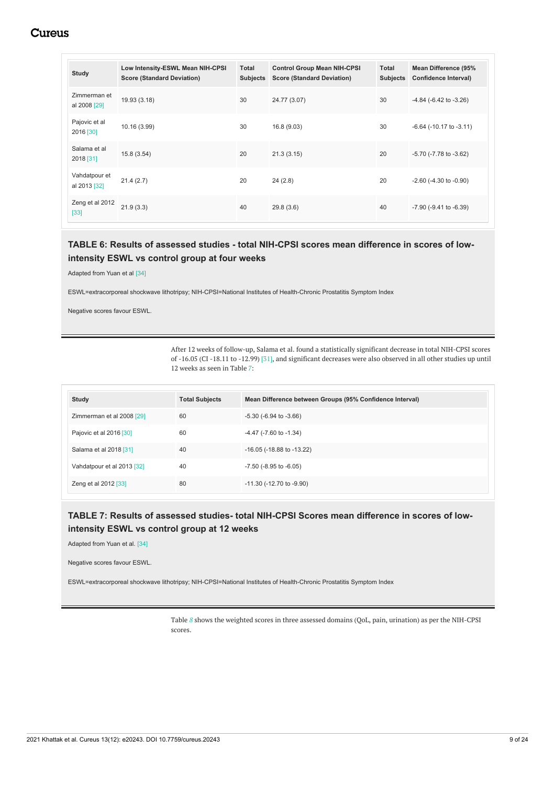<span id="page-9-0"></span>

| <b>Study</b>                  | Low Intensity-ESWL Mean NIH-CPSI<br><b>Score (Standard Deviation)</b> | Total<br><b>Subjects</b> | <b>Control Group Mean NIH-CPSI</b><br><b>Score (Standard Deviation)</b> | Total<br><b>Subjects</b> | <b>Mean Difference (95%</b><br><b>Confidence Interval)</b> |
|-------------------------------|-----------------------------------------------------------------------|--------------------------|-------------------------------------------------------------------------|--------------------------|------------------------------------------------------------|
| Zimmerman et<br>al 2008 [29]  | 19.93 (3.18)                                                          | 30                       | 24.77 (3.07)                                                            | 30                       | $-4.84$ ( $-6.42$ to $-3.26$ )                             |
| Pajovic et al<br>2016 [30]    | 10.16 (3.99)                                                          | 30                       | 16.8 (9.03)                                                             | 30                       | $-6.64$ ( $-10.17$ to $-3.11$ )                            |
| Salama et al<br>2018 [31]     | 15.8(3.54)                                                            | 20                       | 21.3(3.15)                                                              | 20                       | -5.70 (-7.78 to -3.62)                                     |
| Vahdatpour et<br>al 2013 [32] | 21.4(2.7)                                                             | 20                       | 24(2.8)                                                                 | 20                       | $-2.60$ ( $-4.30$ to $-0.90$ )                             |
| Zeng et al 2012<br>$[33]$     | 21.9(3.3)                                                             | 40                       | 29.8(3.6)                                                               | 40                       | $-7.90$ ( $-9.41$ to $-6.39$ )                             |

# **TABLE 6: Results of assessed studies - total NIH-CPSI scores mean difference in scores of lowintensity ESWL vs control group at four weeks**

Adapted from Yuan et al [34]

ESWL=extracorporeal shockwave lithotripsy; NIH-CPSI=National Institutes of Health-Chronic Prostatitis Symptom Index

Negative scores favour ESWL.

After 12 weeks of follow-up, Salama et al. found a statistically significant decrease in total NIH-CPSI scores of -16.05 (CI -18.11 to -12.99) [31], and significant decreases were also observed in all other studies up until 12 weeks as seen in Table *[7](#page-8-1)*:

| <b>Study</b>               | <b>Total Subjects</b> | Mean Difference between Groups (95% Confidence Interval) |
|----------------------------|-----------------------|----------------------------------------------------------|
| Zimmerman et al 2008 [29]  | 60                    | $-5.30$ ( $-6.94$ to $-3.66$ )                           |
| Pajovic et al 2016 [30]    | 60                    | $-4.47$ ( $-7.60$ to $-1.34$ )                           |
| Salama et al 2018 [31]     | 40                    | $-16.05$ ( $-18.88$ to $-13.22$ )                        |
| Vahdatpour et al 2013 [32] | 40                    | $-7.50$ ( $-8.95$ to $-6.05$ )                           |
| Zeng et al 2012 [33]       | 80                    | $-11.30$ ( $-12.70$ to $-9.90$ )                         |

# **TABLE 7: Results of assessed studies- total NIH-CPSI Scores mean difference in scores of lowintensity ESWL vs control group at 12 weeks**

Adapted from Yuan et al. [34]

Negative scores favour ESWL.

ESWL=extracorporeal shockwave lithotripsy; NIH-CPSI=National Institutes of Health-Chronic Prostatitis Symptom Index

Table  $8$  shows the weighted scores in three assessed domains (QoL, pain, urination) as per the NIH-CPSI scores.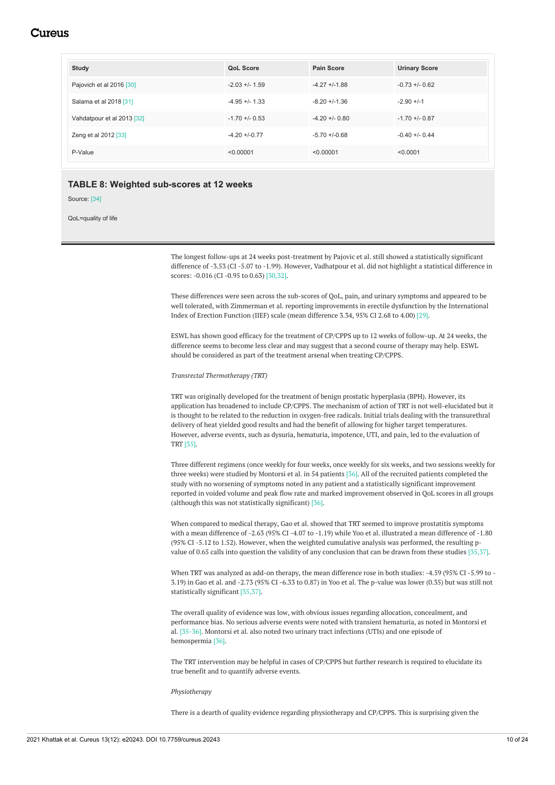| <b>Study</b>               | <b>QoL Score</b>  | Pain Score        | <b>Urinary Score</b> |
|----------------------------|-------------------|-------------------|----------------------|
| Pajovich et al 2016 [30]   | $-2.03 + - 1.59$  | $-4.27 + -1.88$   | $-0.73 + -0.62$      |
| Salama et al 2018 [31]     | $-4.95 + -1.33$   | $-8.20 + -1.36$   | $-2.90 + -1$         |
| Vahdatpour et al 2013 [32] | $-1.70 + -0.53$   | $-4.20 + 0.80$    | $-1.70 + -0.87$      |
| Zeng et al 2012 [33]       | $-4.20 + (-0.77)$ | $-5.70 + (-0.68)$ | $-0.40 + (-0.44)$    |
| P-Value                    | < 0.00001         | < 0.00001         | < 0.0001             |

### **TABLE 8: Weighted sub-scores at 12 weeks**

Source: [34]

<span id="page-10-0"></span>QoL=quality of life

The longest follow-ups at 24 weeks post-treatment by Pajovic et al. still showed a statistically significant difference of -3.53 (CI -5.07 to -1.99). However, Vadhatpour et al. did not highlight a statistical difference in scores: -0.016 (CI -0.95 to 0.63) [30,32].

These differences were seen across the sub-scores of QoL, pain, and urinary symptoms and appeared to be well tolerated, with Zimmerman et al. reporting improvements in erectile dysfunction by the International Index of Erection Function (IIEF) scale (mean difference 3.34, 95% CI 2.68 to 4.00) [29].

ESWL has shown good efficacy for the treatment of CP/CPPS up to 12 weeks of follow-up. At 24 weeks, the difference seems to become less clear and may suggest that a second course of therapy may help. ESWL should be considered as part of the treatment arsenal when treating CP/CPPS.

*Transrectal Thermotherapy (TRT)*

TRT was originally developed for the treatment of benign prostatic hyperplasia (BPH). However, its application has broadened to include CP/CPPS. The mechanism of action of TRT is not well-elucidated but it is thought to be related to the reduction in oxygen-free radicals. Initial trials dealing with the transurethral delivery of heat yielded good results and had the benefit of allowing for higher target temperatures. However, adverse events, such as dysuria, hematuria, impotence, UTI, and pain, led to the evaluation of TRT [35].

Three different regimens (once weekly for four weeks, once weekly for six weeks, and two sessions weekly for three weeks) were studied by Montorsi et al. in 54 patients [36]. All of the recruited patients completed the study with no worsening of symptoms noted in any patient and a statistically significant improvement reported in voided volume and peak flow rate and marked improvement observed in QoL scores in all groups (although this was not statistically significant) [36].

When compared to medical therapy, Gao et al. showed that TRT seemed to improve prostatitis symptoms with a mean difference of -2.63 (95% CI -4.07 to -1.19) while Yoo et al. illustrated a mean difference of -1.80 (95% CI -5.12 to 1.52). However, when the weighted cumulative analysis was performed, the resulting pvalue of 0.65 calls into question the validity of any conclusion that can be drawn from these studies [35,37].

When TRT was analyzed as add-on therapy, the mean difference rose in both studies: -4.59 (95% CI -5.99 to -3.19) in Gao et al. and -2.73 (95% CI -6.33 to 0.87) in Yoo et al. The p-value was lower (0.35) but was still not statistically significant [35,37].

The overall quality of evidence was low, with obvious issues regarding allocation, concealment, and performance bias. No serious adverse events were noted with transient hematuria, as noted in Montorsi et al. [35-36]. Montorsi et al. also noted two urinary tract infections (UTIs) and one episode of hemospermia [36].

The TRT intervention may be helpful in cases of CP/CPPS but further research is required to elucidate its true benefit and to quantify adverse events.

#### *Physiotherapy*

There is a dearth of quality evidence regarding physiotherapy and CP/CPPS. This is surprising given the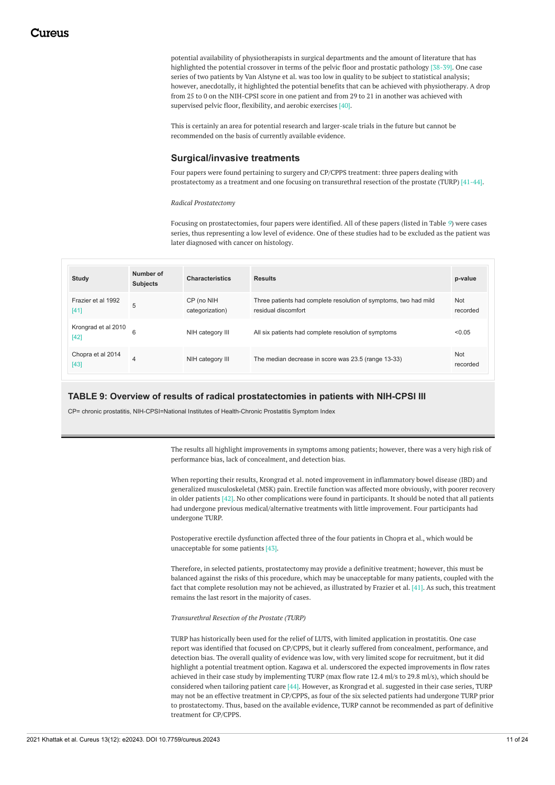potential availability of physiotherapists in surgical departments and the amount of literature that has highlighted the potential crossover in terms of the pelvic floor and prostatic pathology [38-39]. One case series of two patients by Van Alstyne et al. was too low in quality to be subject to statistical analysis; however, anecdotally, it highlighted the potential benefits that can be achieved with physiotherapy. A drop from 25 to 0 on the NIH-CPSI score in one patient and from 29 to 21 in another was achieved with supervised pelvic floor, flexibility, and aerobic exercises [40].

This is certainly an area for potential research and larger-scale trials in the future but cannot be recommended on the basis of currently available evidence.

# **Surgical/invasive treatments**

Four papers were found pertaining to surgery and CP/CPPS treatment: three papers dealing with prostatectomy as a treatment and one focusing on transurethral resection of the prostate (TURP) [41-44].

*Radical Prostatectomy*

Focusing on prostatectomies, four papers were identified. All of these papers (listed in Table *[9](#page-10-0)*) were cases series, thus representing a low level of evidence. One of these studies had to be excluded as the patient was later diagnosed with cancer on histology.

| Study                         | Number of<br><b>Subjects</b> | <b>Characteristics</b>        | <b>Results</b>                                                                          | p-value         |
|-------------------------------|------------------------------|-------------------------------|-----------------------------------------------------------------------------------------|-----------------|
| Frazier et al 1992<br>$[41]$  | 5                            | CP (no NIH<br>categorization) | Three patients had complete resolution of symptoms, two had mild<br>residual discomfort | Not<br>recorded |
| Krongrad et al 2010<br>$[42]$ | 6                            | NIH category III              | All six patients had complete resolution of symptoms                                    | < 0.05          |
| Chopra et al 2014<br>$[43]$   | 4                            | NIH category III              | The median decrease in score was 23.5 (range 13-33)                                     | Not<br>recorded |

### **TABLE 9: Overview of results of radical prostatectomies in patients with NIH-CPSI III**

CP= chronic prostatitis, NIH-CPSI=National Institutes of Health-Chronic Prostatitis Symptom Index

The results all highlight improvements in symptoms among patients; however, there was a very high risk of performance bias, lack of concealment, and detection bias.

When reporting their results, Krongrad et al. noted improvement in inflammatory bowel disease (IBD) and generalized musculoskeletal (MSK) pain. Erectile function was affected more obviously, with poorer recovery in older patients [42]. No other complications were found in participants. It should be noted that all patients had undergone previous medical/alternative treatments with little improvement. Four participants had undergone TURP.

Postoperative erectile dysfunction affected three of the four patients in Chopra et al., which would be unacceptable for some patients [43].

Therefore, in selected patients, prostatectomy may provide a definitive treatment; however, this must be balanced against the risks of this procedure, which may be unacceptable for many patients, coupled with the fact that complete resolution may not be achieved, as illustrated by Frazier et al. [41]. As such, this treatment remains the last resort in the majority of cases.

*Transurethral Resection of the Prostate (TURP)*

TURP has historically been used for the relief of LUTS, with limited application in prostatitis. One case report was identified that focused on CP/CPPS, but it clearly suffered from concealment, performance, and detection bias. The overall quality of evidence was low, with very limited scope for recruitment, but it did highlight a potential treatment option. Kagawa et al. underscored the expected improvements in flow rates achieved in their case study by implementing TURP (max flow rate 12.4 ml/s to 29.8 ml/s), which should be considered when tailoring patient care [44]. However, as Krongrad et al. suggested in their case series, TURP may not be an effective treatment in CP/CPPS, as four of the six selected patients had undergone TURP prior to prostatectomy. Thus, based on the available evidence, TURP cannot be recommended as part of definitive treatment for CP/CPPS.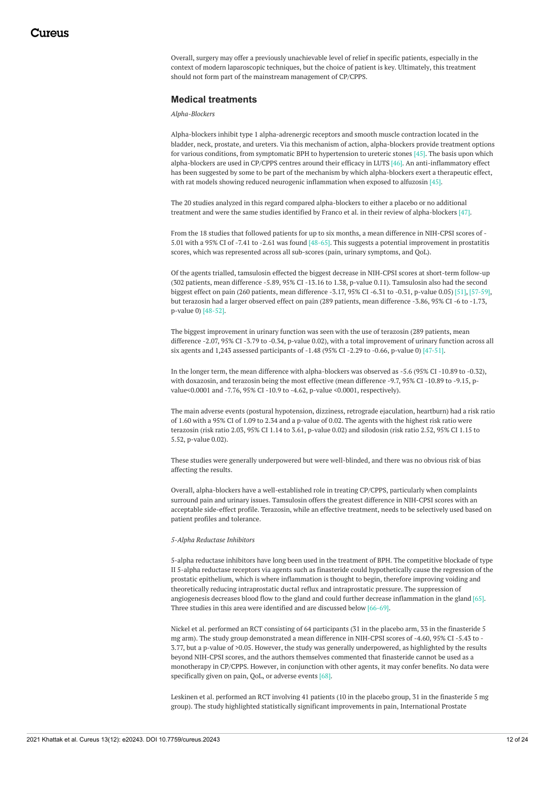Overall, surgery may offer a previously unachievable level of relief in specific patients, especially in the context of modern laparoscopic techniques, but the choice of patient is key. Ultimately, this treatment should not form part of the mainstream management of CP/CPPS.

### <span id="page-12-0"></span>**Medical treatments**

*Alpha-Blockers*

Alpha-blockers inhibit type 1 alpha-adrenergic receptors and smooth muscle contraction located in the bladder, neck, prostate, and ureters. Via this mechanism of action, alpha-blockers provide treatment options for various conditions, from symptomatic BPH to hypertension to ureteric stones [45]. The basis upon which alpha-blockers are used in CP/CPPS centres around their efficacy in LUTS [46]. An anti-inflammatory effect has been suggested by some to be part of the mechanism by which alpha-blockers exert a therapeutic effect, with rat models showing reduced neurogenic inflammation when exposed to alfuzosin [45].

The 20 studies analyzed in this regard compared alpha-blockers to either a placebo or no additional treatment and were the same studies identified by Franco et al. in their review of alpha-blockers [47].

From the 18 studies that followed patients for up to six months, a mean difference in NIH-CPSI scores of - 5.01 with a 95% CI of -7.41 to -2.61 was found [48-65]. This suggests a potential improvement in prostatitis scores, which was represented across all sub-scores (pain, urinary symptoms, and QoL).

Of the agents trialled, tamsulosin effected the biggest decrease in NIH-CPSI scores at short-term follow-up (302 patients, mean difference -5.89, 95% CI -13.16 to 1.38, p-value 0.11). Tamsulosin also had the second biggest effect on pain (260 patients, mean difference -3.17, 95% CI -6.31 to -0.31, p-value 0.05) [51], [57-59], but terazosin had a larger observed effect on pain (289 patients, mean difference -3.86, 95% CI -6 to -1.73, p-value 0) [48-52].

The biggest improvement in urinary function was seen with the use of terazosin (289 patients, mean difference -2.07, 95% CI -3.79 to -0.34, p-value 0.02), with a total improvement of urinary function across all six agents and 1,243 assessed participants of -1.48 (95% CI -2.29 to -0.66, p-value 0) [47-51].

In the longer term, the mean difference with alpha-blockers was observed as -5.6 (95% CI -10.89 to -0.32), with doxazosin, and terazosin being the most effective (mean difference -9.7, 95% CI -10.89 to -9.15, pvalue<0.0001 and -7.76, 95% CI -10.9 to -4.62, p-value <0.0001, respectively).

The main adverse events (postural hypotension, dizziness, retrograde ejaculation, heartburn) had a risk ratio of 1.60 with a 95% CI of 1.09 to 2.34 and a p-value of 0.02. The agents with the highest risk ratio were terazosin (risk ratio 2.03, 95% CI 1.14 to 3.61, p-value 0.02) and silodosin (risk ratio 2.52, 95% CI 1.15 to 5.52, p-value 0.02).

These studies were generally underpowered but were well-blinded, and there was no obvious risk of bias affecting the results.

Overall, alpha-blockers have a well-established role in treating CP/CPPS, particularly when complaints surround pain and urinary issues. Tamsulosin offers the greatest difference in NIH-CPSI scores with an acceptable side-effect profile. Terazosin, while an effective treatment, needs to be selectively used based on patient profiles and tolerance.

#### *5-Alpha Reductase Inhibitors*

5-alpha reductase inhibitors have long been used in the treatment of BPH. The competitive blockade of type II 5-alpha reductase receptors via agents such as finasteride could hypothetically cause the regression of the prostatic epithelium, which is where inflammation is thought to begin, therefore improving voiding and theoretically reducing intraprostatic ductal reflux and intraprostatic pressure. The suppression of angiogenesis decreases blood flow to the gland and could further decrease inflammation in the gland [65]. Three studies in this area were identified and are discussed below [66-69].

Nickel et al. performed an RCT consisting of 64 participants (31 in the placebo arm, 33 in the finasteride 5 mg arm). The study group demonstrated a mean difference in NIH-CPSI scores of -4.60, 95% CI -5.43 to - 3.77, but a p-value of >0.05. However, the study was generally underpowered, as highlighted by the results beyond NIH-CPSI scores, and the authors themselves commented that finasteride cannot be used as a monotherapy in CP/CPPS. However, in conjunction with other agents, it may confer benefits. No data were specifically given on pain, QoL, or adverse events [68].

Leskinen et al. performed an RCT involving 41 patients (10 in the placebo group, 31 in the finasteride 5 mg group). The study highlighted statistically significant improvements in pain, International Prostate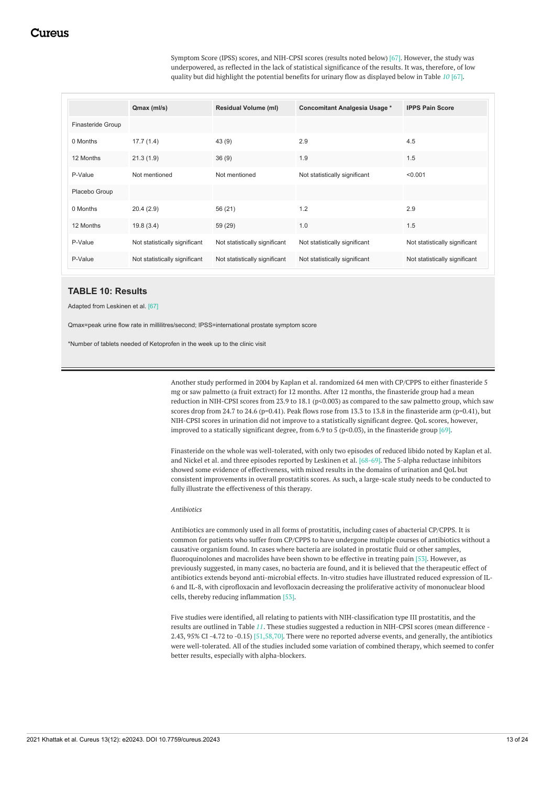Symptom Score (IPSS) scores, and NIH-CPSI scores (results noted below) [67]. However, the study was underpowered, as reflected in the lack of statistical significance of the results. It was, therefore, of low quality but did highlight the potential benefits for urinary flow as displayed below in Table *[10](#page-12-0)* [67].

<span id="page-13-0"></span>

|                   | Qmax (ml/s)                   | <b>Residual Volume (ml)</b>   | Concomitant Analgesia Usage * | <b>IPPS Pain Score</b>        |
|-------------------|-------------------------------|-------------------------------|-------------------------------|-------------------------------|
| Finasteride Group |                               |                               |                               |                               |
| 0 Months          | 17.7(1.4)                     | 43(9)                         | 2.9                           | 4.5                           |
| 12 Months         | 21.3(1.9)                     | 36(9)                         | 1.9                           | 1.5                           |
| P-Value           | Not mentioned                 | Not mentioned                 | Not statistically significant | < 0.001                       |
| Placebo Group     |                               |                               |                               |                               |
| 0 Months          | 20.4(2.9)                     | 56 (21)                       | 1.2                           | 2.9                           |
| 12 Months         | 19.8(3.4)                     | 59 (29)                       | 1.0                           | 1.5                           |
| P-Value           | Not statistically significant | Not statistically significant | Not statistically significant | Not statistically significant |
| P-Value           | Not statistically significant | Not statistically significant | Not statistically significant | Not statistically significant |

### **TABLE 10: Results**

Adapted from Leskinen et al. [67]

<span id="page-13-1"></span>Qmax=peak urine flow rate in millilitres/second; IPSS=international prostate symptom score

\*Number of tablets needed of Ketoprofen in the week up to the clinic visit

Another study performed in 2004 by Kaplan et al. randomized 64 men with CP/CPPS to either finasteride 5 mg or saw palmetto (a fruit extract) for 12 months. After 12 months, the finasteride group had a mean reduction in NIH-CPSI scores from 23.9 to 18.1 (p<0.003) as compared to the saw palmetto group, which saw scores drop from 24.7 to 24.6 (p=0.41). Peak flows rose from 13.3 to 13.8 in the finasteride arm (p=0.41), but NIH-CPSI scores in urination did not improve to a statistically significant degree. QoL scores, however, improved to a statically significant degree, from 6.9 to 5 (p<0.03), in the finasteride group [69].

Finasteride on the whole was well-tolerated, with only two episodes of reduced libido noted by Kaplan et al. and Nickel et al. and three episodes reported by Leskinen et al. [68-69]. The 5-alpha reductase inhibitors showed some evidence of effectiveness, with mixed results in the domains of urination and QoL but consistent improvements in overall prostatitis scores. As such, a large-scale study needs to be conducted to fully illustrate the effectiveness of this therapy.

#### *Antibiotics*

Antibiotics are commonly used in all forms of prostatitis, including cases of abacterial CP/CPPS. It is common for patients who suffer from CP/CPPS to have undergone multiple courses of antibiotics without a causative organism found. In cases where bacteria are isolated in prostatic fluid or other samples, fluoroquinolones and macrolides have been shown to be effective in treating pain [53]. However, as previously suggested, in many cases, no bacteria are found, and it is believed that the therapeutic effect of antibiotics extends beyond anti-microbial effects. In-vitro studies have illustrated reduced expression of IL-6 and IL-8, with ciprofloxacin and levofloxacin decreasing the proliferative activity of mononuclear blood cells, thereby reducing inflammation [53].

Five studies were identified, all relating to patients with NIH-classification type III prostatitis, and the results are outlined in Table *[11](#page-13-0)*. These studies suggested a reduction in NIH-CPSI scores (mean difference - 2.43, 95% CI -4.72 to -0.15) [51,58,70]. There were no reported adverse events, and generally, the antibiotics were well-tolerated. All of the studies included some variation of combined therapy, which seemed to confer better results, especially with alpha-blockers.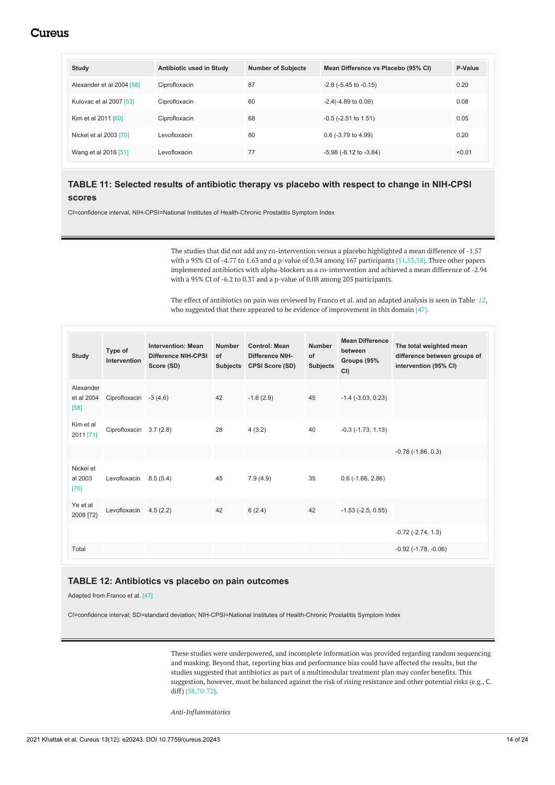| <b>Study</b>              | Antibiotic used in Study | <b>Number of Subjects</b> | Mean Difference vs Placebo (95% CI) | P-Value |
|---------------------------|--------------------------|---------------------------|-------------------------------------|---------|
| Alexander et al 2004 [58] | Ciprofloxacin            | 87                        | $-2.8$ ( $-5.45$ to $-0.15$ )       | 0.20    |
| Kulovac et al 2007 [53]   | Ciprofloxacin            | 60                        | $-2.4(-4.89 \text{ to } 0.09)$      | 0.08    |
| Kim et al 2011 [60]       | Ciprofloxacin            | 68                        | $-0.5$ ( $-2.51$ to $1.51$ )        | 0.05    |
| Nickel et al 2003 [70]    | Levofloxacin             | 80                        | $0.6$ (-3.79 to 4.99)               | 0.20    |
| Wang et al 2016 [51]      | Levofloxacin             | 77                        | $-5.98$ ( $-8.12$ to $-3.84$ )      | < 0.01  |

# **TABLE 11: Selected results of antibiotic therapy vs placebo with respect to change in NIH-CPSI scores**

CI=confidence interval, NIH-CPSI=National Institutes of Health-Chronic Prostatitis Symptom Index

The studies that did not add any co-intervention versus a placebo highlighted a mean difference of -1.57 with a 95% CI of -4.77 to 1.63 and a p-value of 0.34 among 167 participants [51,53,58]. Three other papers implemented antibiotics with alpha-blockers as a co-intervention and achieved a mean difference of -2.94 with a 95% CI of -6.2 to 0.37 and a p-value of 0.08 among 205 participants.

The effect of antibiotics on pain was reviewed by Franco et al. and an adapted analysis is seen in Table *[12](#page-13-1)*, who suggested that there appeared to be evidence of improvement in this domain [47].

| <b>Study</b>                      | Type of<br>Intervention | <b>Intervention: Mean</b><br>Difference NIH-CPSI<br>Score (SD) | <b>Number</b><br>of | <b>Control: Mean</b><br><b>Difference NIH-</b><br>Subjects CPSI Score (SD) | <b>Number</b><br>of<br><b>Subjects</b> | <b>Mean Difference</b><br>between<br>Groups (95%<br>CI | The total weighted mean<br>difference between groups of<br>intervention (95% CI) |
|-----------------------------------|-------------------------|----------------------------------------------------------------|---------------------|----------------------------------------------------------------------------|----------------------------------------|--------------------------------------------------------|----------------------------------------------------------------------------------|
| Alexander<br>et al 2004<br>$[58]$ | Ciprofloxacin $-3(4.6)$ |                                                                | 42                  | $-1.6(2.9)$                                                                | 45                                     | $-1.4$ ( $-3.03$ , 0.23)                               |                                                                                  |
| Kim et al<br>2011 [71]            | Ciprofloxacin 3.7 (2.8) |                                                                | 28                  | 4(3.2)                                                                     | 40                                     | $-0.3$ $(-1.73, 1.13)$                                 |                                                                                  |
|                                   |                         |                                                                |                     |                                                                            |                                        |                                                        | $-0.78$ $(-1.86, 0.3)$                                                           |
| Nickel et<br>al 2003<br>$[70]$    | Levofloxacin 8.5 (5.4)  |                                                                | 45                  | 7.9(4.9)                                                                   | 35                                     | $0.6$ ( $-1.66$ , $2.86$ )                             |                                                                                  |
| Ye et al<br>2008 [72]             | Levofloxacin            | 4.5(2.2)                                                       | 42                  | 6(2.4)                                                                     | 42                                     | $-1.53$ $(-2.5, 0.55)$                                 |                                                                                  |
|                                   |                         |                                                                |                     |                                                                            |                                        |                                                        | $-0.72$ $(-2.74, 1.3)$                                                           |
| Total                             |                         |                                                                |                     |                                                                            |                                        |                                                        | $-0.92$ $(-1.78, -0.06)$                                                         |

# <span id="page-14-0"></span>**TABLE 12: Antibiotics vs placebo on pain outcomes**

Adapted from Franco et al. [47]

CI=confidence interval; SD=standard deviation; NIH-CPSI=National Institutes of Health-Chronic Prostatitis Symptom Index

These studies were underpowered, and incomplete information was provided regarding random sequencing and masking. Beyond that, reporting bias and performance bias could have affected the results, but the studies suggested that antibiotics as part of a multimodular treatment plan may confer benefits. This suggestion, however, must be balanced against the risk of rising resistance and other potential risks (e.g., C. diff) [58,70-72].

*Anti-Inflammatories*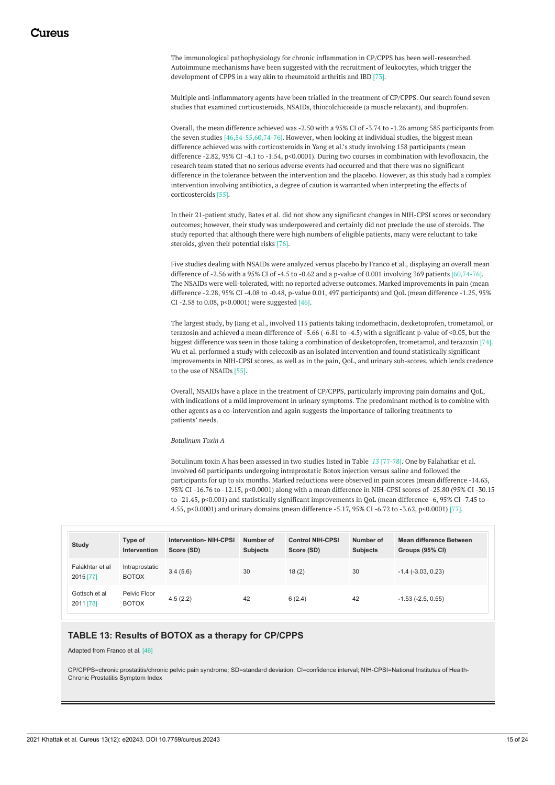The immunological pathophysiology for chronic inflammation in CP/CPPS has been well-researched. Autoimmune mechanisms have been suggested with the recruitment of leukocytes, which trigger the development of CPPS in a way akin to rheumatoid arthritis and IBD [73].

Multiple anti-inflammatory agents have been trialled in the treatment of CP/CPPS. Our search found seven studies that examined corticosteroids, NSAIDs, thiocolchicoside (a muscle relaxant), and ibuprofen.

Overall, the mean difference achieved was -2.50 with a 95% CI of -3.74 to -1.26 among 585 participants from the seven studies [46,54-55,60,74-76]. However, when looking at individual studies, the biggest mean difference achieved was with corticosteroids in Yang et al.'s study involving 158 participants (mean difference -2.82, 95% CI -4.1 to -1.54, p<0.0001). During two courses in combination with levofloxacin, the research team stated that no serious adverse events had occurred and that there was no significant difference in the tolerance between the intervention and the placebo. However, as this study had a complex intervention involving antibiotics, a degree of caution is warranted when interpreting the effects of corticosteroids [55].

<span id="page-15-0"></span>In their 21-patient study, Bates et al. did not show any significant changes in NIH-CPSI scores or secondary outcomes; however, their study was underpowered and certainly did not preclude the use of steroids. The study reported that although there were high numbers of eligible patients, many were reluctant to take steroids, given their potential risks [76].

Five studies dealing with NSAIDs were analyzed versus placebo by Franco et al., displaying an overall mean difference of -2.56 with a 95% CI of -4.5 to -0.62 and a p-value of 0.001 involving 369 patients [60,74-76]. The NSAIDs were well-tolerated, with no reported adverse outcomes. Marked improvements in pain (mean difference -2.28, 95% CI -4.08 to -0.48, p-value 0.01, 497 participants) and QoL (mean difference -1.25, 95% CI -2.58 to 0.08, p<0.0001) were suggested [46].

The largest study, by Jiang et al., involved 115 patients taking indomethacin, dexketoprofen, trometamol, or terazosin and achieved a mean difference of -5.66 (-6.81 to -4.5) with a significant p-value of <0.05, but the biggest difference was seen in those taking a combination of dexketoprofen, trometamol, and terazosin [74]. Wu et al. performed a study with celecoxib as an isolated intervention and found statistically significant improvements in NIH-CPSI scores, as well as in the pain, QoL, and urinary sub-scores, which lends credence to the use of NSAIDs [55].

Overall, NSAIDs have a place in the treatment of CP/CPPS, particularly improving pain domains and QoL, with indications of a mild improvement in urinary symptoms. The predominant method is to combine with other agents as a co-intervention and again suggests the importance of tailoring treatments to patients' needs.

*Botulinum Toxin A*

Botulinum toxin A has been assessed in two studies listed in Table *[13](#page-14-0)* [77-78]. One by Falahatkar et al. involved 60 participants undergoing intraprostatic Botox injection versus saline and followed the participants for up to six months. Marked reductions were observed in pain scores (mean difference -14.63, 95% CI -16.76 to -12.15, p<0.0001) along with a mean difference in NIH-CPSI scores of -25.80 (95% CI -30.15 to -21.45, p<0.001) and statistically significant improvements in QoL (mean difference -6, 95% CI -7.45 to -4.55, p<0.0001) and urinary domains (mean difference -5.17, 95% CI -6.72 to -3.62, p<0.0001) [77].

| Study                        | Type of<br>Intervention        | <b>Intervention-NIH-CPSI</b><br>Score (SD) | Number of<br><b>Subjects</b> | <b>Control NIH-CPSI</b><br>Score (SD) | Number of<br><b>Subjects</b> | Mean difference Between<br>Groups (95% CI) |
|------------------------------|--------------------------------|--------------------------------------------|------------------------------|---------------------------------------|------------------------------|--------------------------------------------|
| Falakhtar et al<br>2015 [77] | Intraprostatic<br><b>BOTOX</b> | 3.4(5.6)                                   | 30                           | 18(2)                                 | 30                           | $-1.4$ ( $-3.03$ , 0.23)                   |
| Gottsch et al<br>2011 [78]   | Pelvic Floor<br><b>BOTOX</b>   | 4.5(2.2)                                   | 42                           | 6(2.4)                                | 42                           | $-1.53$ ( $-2.5, 0.55$ )                   |

# **TABLE 13: Results of BOTOX as a therapy for CP/CPPS**

Adapted from Franco et al. [46]

CP/CPPS=chronic prostatitis/chronic pelvic pain syndrome; SD=standard deviation; CI=confidence interval; NIH-CPSI=National Institutes of Health-Chronic Prostatitis Symptom Index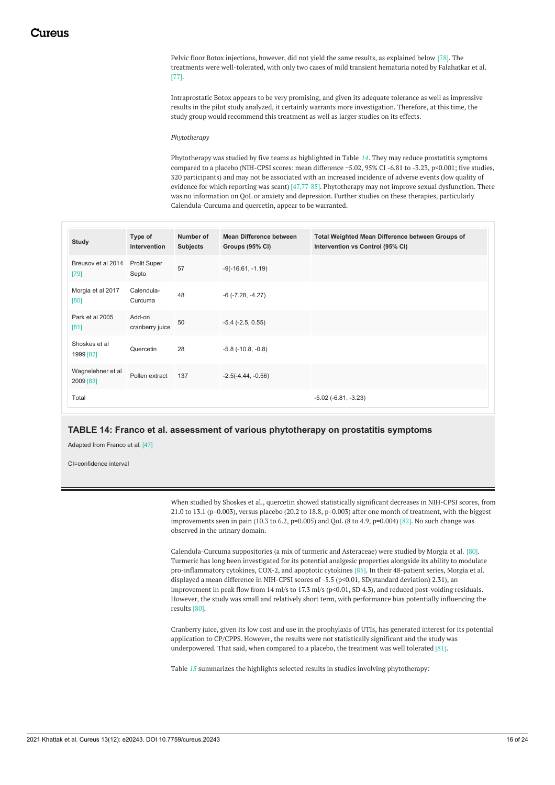<span id="page-16-0"></span>Pelvic floor Botox injections, however, did not yield the same results, as explained below [78]. The treatments were well-tolerated, with only two cases of mild transient hematuria noted by Falahatkar et al. [77].

Intraprostatic Botox appears to be very promising, and given its adequate tolerance as well as impressive results in the pilot study analyzed, it certainly warrants more investigation. Therefore, at this time, the study group would recommend this treatment as well as larger studies on its effects.

#### *Phytotherapy*

Phytotherapy was studied by five teams as highlighted in Table *[14](#page-15-0)*. They may reduce prostatitis symptoms compared to a placebo (NIH-CPSI scores: mean difference −5.02, 95% CI -6.81 to -3.23, p<0.001; five studies, 320 participants) and may not be associated with an increased incidence of adverse events (low quality of evidence for which reporting was scant) [47,77-85]. Phytotherapy may not improve sexual dysfunction. There was no information on QoL or anxiety and depression. Further studies on these therapies, particularly Calendula-Curcuma and quercetin, appear to be warranted.

| <b>Study</b>                   | Type of<br>Intervention      | Number of<br><b>Subjects</b> | Mean Difference between<br>Groups (95% CI) | Total Weighted Mean Difference between Groups of<br>Intervention vs Control (95% CI) |
|--------------------------------|------------------------------|------------------------------|--------------------------------------------|--------------------------------------------------------------------------------------|
| Breusov et al 2014<br>$[79]$   | <b>Prolit Super</b><br>Septo | 57                           | $-9(-16.61, -1.19)$                        |                                                                                      |
| Morgia et al 2017<br>[80]      | Calendula-<br>Curcuma        | 48                           | $-6$ ( $-7.28$ , $-4.27$ )                 |                                                                                      |
| Park et al 2005<br>$[81]$      | Add-on<br>cranberry juice    | 50                           | $-5.4$ $(-2.5, 0.55)$                      |                                                                                      |
| Shoskes et al<br>1999 [82]     | Quercetin                    | 28                           | $-5.8$ ( $-10.8$ , $-0.8$ )                |                                                                                      |
| Wagnelehner et al<br>2009 [83] | Pollen extract               | 137                          | $-2.5(-4.44, -0.56)$                       |                                                                                      |
| Total                          |                              |                              |                                            | $-5.02$ $(-6.81, -3.23)$                                                             |

### **TABLE 14: Franco et al. assessment of various phytotherapy on prostatitis symptoms**

Adapted from Franco et al. [47]

<span id="page-16-1"></span>CI=confidence interval

When studied by Shoskes et al., quercetin showed statistically significant decreases in NIH-CPSI scores, from 21.0 to 13.1 (p=0.003), versus placebo (20.2 to 18.8, p=0.003) after one month of treatment, with the biggest improvements seen in pain (10.3 to 6.2, p=0.005) and QoL (8 to 4.9, p=0.004) [82]. No such change was observed in the urinary domain.

Calendula-Curcuma suppositories (a mix of turmeric and Asteraceae) were studied by Morgia et al. [80]. Turmeric has long been investigated for its potential analgesic properties alongside its ability to modulate pro-inflammatory cytokines, COX-2, and apoptotic cytokines [85]. In their 48-patient series, Morgia et al. displayed a mean difference in NIH-CPSI scores of -5.5 (p<0.01, SD(standard deviation) 2.31), an improvement in peak flow from 14 ml/s to 17.3 ml/s (p<0.01, SD 4.3), and reduced post-voiding residuals. However, the study was small and relatively short term, with performance bias potentially influencing the results [80].

Cranberry juice, given its low cost and use in the prophylaxis of UTIs, has generated interest for its potential application to CP/CPPS. However, the results were not statistically significant and the study was underpowered. That said, when compared to a placebo, the treatment was well tolerated [81].

Table *[15](#page-16-0)* summarizes the highlights selected results in studies involving phytotherapy: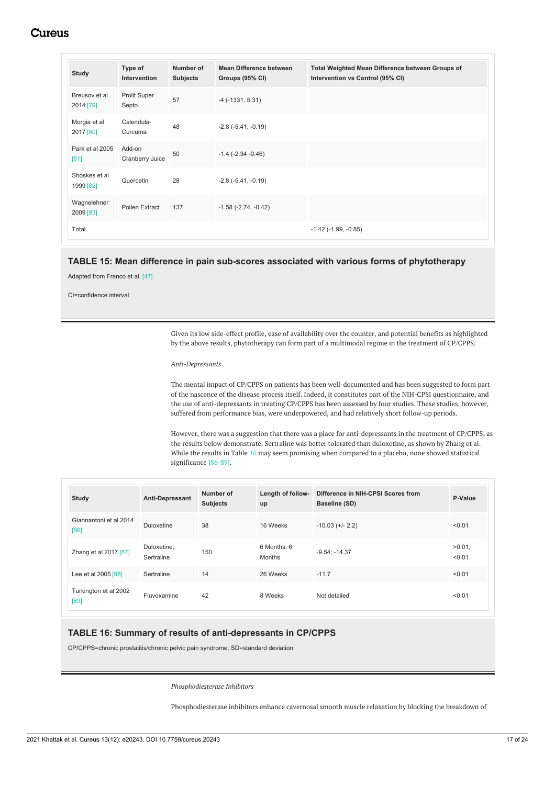<span id="page-17-0"></span>

| <b>Study</b>               | Type of<br>Intervention   | Number of<br><b>Subjects</b> | <b>Mean Difference between</b><br>Groups (95% CI) | Total Weighted Mean Difference between Groups of<br>Intervention vs Control (95% CI) |
|----------------------------|---------------------------|------------------------------|---------------------------------------------------|--------------------------------------------------------------------------------------|
| Breusov et al<br>2014 [79] | Prolit Super<br>Septo     | 57                           | $-4$ ( $-1331, 5.31$ )                            |                                                                                      |
| Morgia et al<br>2017 [80]  | Calendula-<br>Curcuma     | 48                           | $-2.8$ $(-5.41, -0.19)$                           |                                                                                      |
| Park et al 2005<br>[81]    | Add-on<br>Cranberry Juice | 50                           | $-1.4$ ( $-2.34$ $-0.46$ )                        |                                                                                      |
| Shoskes et al<br>1999 [82] | Quercetin                 | 28                           | $-2.8$ $(-5.41, -0.19)$                           |                                                                                      |
| Wagnelehner<br>2009 [83]   | Pollen Extract            | 137                          | $-1.58$ $(-2.74, -0.42)$                          |                                                                                      |
| Total                      |                           |                              |                                                   | $-1.42$ ( $-1.99$ , $-0.85$ )                                                        |

### **TABLE 15: Mean difference in pain sub-scores associated with various forms of phytotherapy**

Adapted from Franco et al. [47]

CI=confidence interval

Given its low side-effect profile, ease of availability over the counter, and potential benefits as highlighted by the above results, phytotherapy can form part of a multimodal regime in the treatment of CP/CPPS.

### *Anti-Depressants*

The mental impact of CP/CPPS on patients has been well-documented and has been suggested to form part of the nascence of the disease process itself. Indeed, it constitutes part of the NIH-CPSI questionnaire, and the use of anti-depressants in treating CP/CPPS has been assessed by four studies. These studies, however, suffered from performance bias, were underpowered, and had relatively short follow-up periods.

However, there was a suggestion that there was a place for anti-depressants in the treatment of CP/CPPS, as the results below demonstrate. Sertraline was better tolerated than duloxetine, as shown by Zhang et al. While the results in Table *[16](#page-16-1)* may seem promising when compared to a placebo, none showed statistical significance [86-89].

| <b>Study</b>                   | Anti-Depressant           | Number of<br><b>Subjects</b> | up                           | Length of follow- Difference in NIH-CPSI Scores from<br><b>Baseline (SD)</b> | P-Value             |
|--------------------------------|---------------------------|------------------------------|------------------------------|------------------------------------------------------------------------------|---------------------|
| Giannantoni et al 2014<br>[86] | Duloxetine                | 38                           | 16 Weeks                     | $-10.03$ (+/- 2.2)                                                           | < 0.01              |
| Zhang et al 2017 [87]          | Duloxetine;<br>Sertraline | 150                          | 6 Months; 6<br><b>Months</b> | $-9.54; -14.37$                                                              | $>0.01$ ;<br>< 0.01 |
| Lee et al 2005 [88]            | Sertraline                | 14                           | 26 Weeks                     | $-11.7$                                                                      | < 0.01              |
| Turkington et al 2002<br>[89]  | Fluvoxamine               | 42                           | 8 Weeks                      | Not detailed                                                                 | < 0.01              |

### **TABLE 16: Summary of results of anti-depressants in CP/CPPS**

CP/CPPS=chronic prostatitis/chronic pelvic pain syndrome; SD=standard deviation

*Phosphodiesterase Inhibitors*

Phosphodiesterase inhibitors enhance cavernosal smooth muscle relaxation by blocking the breakdown of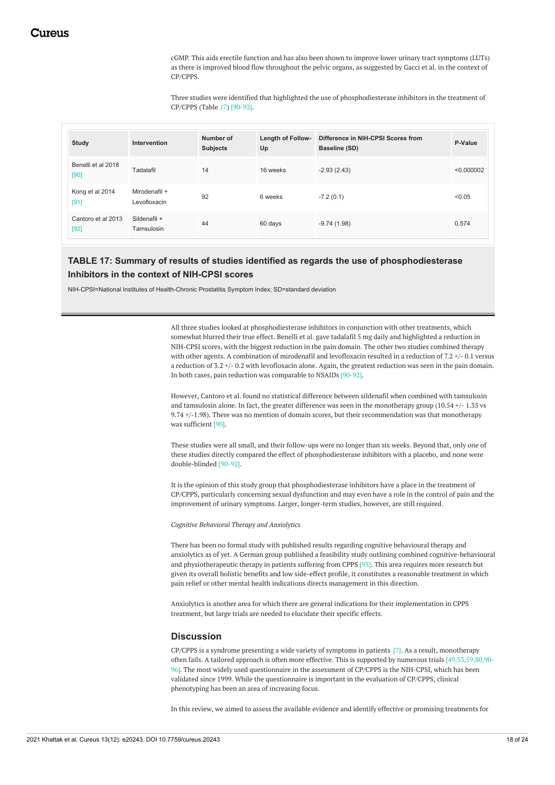cGMP. This aids erectile function and has also been shown to improve lower urinary tract symptoms (LUTs) as there is improved blood flow throughout the pelvic organs, as suggested by Gacci et al. in the context of CP/CPPS.

Three studies were identified that highlighted the use of phosphodiesterase inhibitors in the treatment of CP/CPPS (Table *[17](#page-17-0)*) [90-92].

<span id="page-18-0"></span>

| <b>Study</b>                 | Intervention                  | Number of<br><b>Subjects</b> | <b>Length of Follow-</b><br>Up | Difference in NIH-CPSI Scores from<br>Baseline (SD) | P-Value    |
|------------------------------|-------------------------------|------------------------------|--------------------------------|-----------------------------------------------------|------------|
| Benelli et al 2018<br>[90]   | Tadalafil                     | 14                           | 16 weeks                       | $-2.93(2.43)$                                       | < 0.000002 |
| Kong et al 2014<br>$[91]$    | Mirodenafil +<br>Levofloxacin | 92                           | 6 weeks                        | $-7.2(0.1)$                                         | < 0.05     |
| Cantoro et al 2013<br>$[92]$ | Sildenafil +<br>Tamsulosin    | 44                           | 60 days                        | $-9.74(1.98)$                                       | 0,574      |

# **TABLE 17: Summary of results of studies identified as regards the use of phosphodiesterase Inhibitors in the context of NIH-CPSI scores**

NIH-CPSI=National Institutes of Health-Chronic Prostatitis Symptom Index; SD=standard deviation

All three studies looked at phosphodiesterase inhibitors in conjunction with other treatments, which somewhat blurred their true effect. Benelli et al. gave tadalafil 5 mg daily and highlighted a reduction in NIH-CPSI scores, with the biggest reduction in the pain domain. The other two studies combined therapy with other agents. A combination of mirodenafil and levofloxacin resulted in a reduction of 7.2 +/- 0.1 versus a reduction of 3.2 +/- 0.2 with levofloxacin alone. Again, the greatest reduction was seen in the pain domain. In both cases, pain reduction was comparable to NSAIDs [90-92].

However, Cantoro et al. found no statistical difference between sildenafil when combined with tamsulosin and tamsulosin alone. In fact, the greater difference was seen in the monotherapy group (10.54 +/- 1.35 vs 9.74 +/-1.98). There was no mention of domain scores, but their recommendation was that monotherapy was sufficient [90].

These studies were all small, and their follow-ups were no longer than six weeks. Beyond that, only one of these studies directly compared the effect of phosphodiesterase inhibitors with a placebo, and none were double-blinded [90-92].

It is the opinion of this study group that phosphodiesterase inhibitors have a place in the treatment of CP/CPPS, particularly concerning sexual dysfunction and may even have a role in the control of pain and the improvement of urinary symptoms. Larger, longer-term studies, however, are still required.

*Cognitive Behavioral Therapy and Anxiolytics*

There has been no formal study with published results regarding cognitive behavioural therapy and anxiolytics as of yet. A German group published a feasibility study outlining combined cognitive-behavioural and physiotherapeutic therapy in patients suffering from CPPS [93]. This area requires more research but given its overall holistic benefits and low side-effect profile, it constitutes a reasonable treatment in which pain relief or other mental health indications directs management in this direction.

Anxiolytics is another area for which there are general indications for their implementation in CPPS treatment, but large trials are needed to elucidate their specific effects.

# **Discussion**

CP/CPPS is a syndrome presenting a wide variety of symptoms in patients [7]. As a result, monotherapy often fails. A tailored approach is often more effective. This is supported by numerous trials [49,53,59,80,90- 96]. The most widely used questionnaire in the assessment of CP/CPPS is the NIH-CPSI, which has been validated since 1999. While the questionnaire is important in the evaluation of CP/CPPS, clinical phenotyping has been an area of increasing focus.

In this review, we aimed to assess the available evidence and identify effective or promising treatments for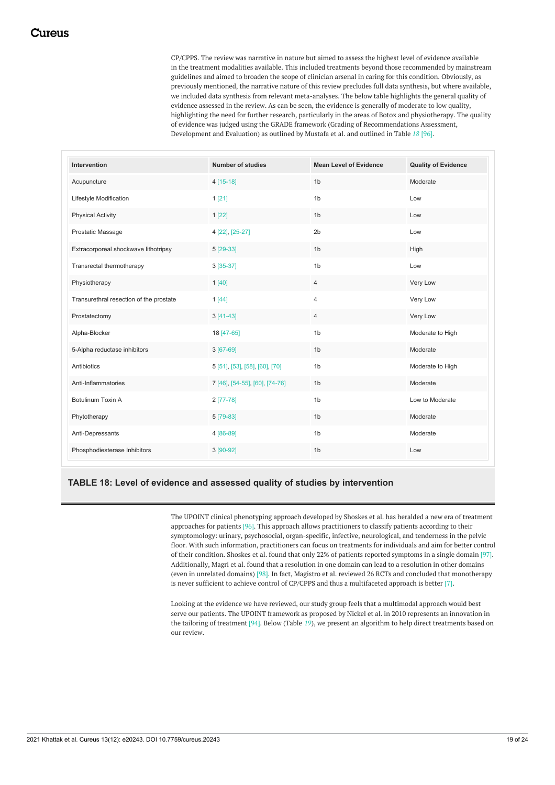CP/CPPS. The review was narrative in nature but aimed to assess the highest level of evidence available in the treatment modalities available. This included treatments beyond those recommended by mainstream guidelines and aimed to broaden the scope of clinician arsenal in caring for this condition. Obviously, as previously mentioned, the narrative nature of this review precludes full data synthesis, but where available, we included data synthesis from relevant meta-analyses. The below table highlights the general quality of evidence assessed in the review. As can be seen, the evidence is generally of moderate to low quality, highlighting the need for further research, particularly in the areas of Botox and physiotherapy. The quality of evidence was judged using the GRADE framework (Grading of Recommendations Assessment, Development and Evaluation) as outlined by Mustafa et al. and outlined in Table *[18](#page-18-0)* [96].

<span id="page-19-0"></span>

| Intervention                            | <b>Number of studies</b>       | <b>Mean Level of Evidence</b> | <b>Quality of Evidence</b> |
|-----------------------------------------|--------------------------------|-------------------------------|----------------------------|
| Acupuncture                             | 4 [15-18]                      | 1 <sub>b</sub>                | Moderate                   |
| Lifestyle Modification                  | 1 [21]                         | 1 <sub>b</sub>                | Low                        |
| <b>Physical Activity</b>                | 1 [22]                         | 1 <sub>b</sub>                | Low                        |
| Prostatic Massage                       | 4 [22], [25-27]                | 2 <sub>b</sub>                | Low                        |
| Extracorporeal shockwave lithotripsy    | 5 [29-33]                      | 1 <sub>b</sub>                | High                       |
| Transrectal thermotherapy               | 3 [35-37]                      | 1 <sub>b</sub>                | Low                        |
| Physiotherapy                           | 1[40]                          | $\overline{4}$                | Very Low                   |
| Transurethral resection of the prostate | 1[44]                          | $\overline{4}$                | Very Low                   |
| Prostatectomy                           | $3[41-43]$                     | $\overline{4}$                | Very Low                   |
| Alpha-Blocker                           | 18 [47-65]                     | 1 <sub>b</sub>                | Moderate to High           |
| 5-Alpha reductase inhibitors            | $3[67-69]$                     | 1 <sub>b</sub>                | Moderate                   |
| Antibiotics                             | 5 [51], [53], [58], [60], [70] | 1 <sub>b</sub>                | Moderate to High           |
| Anti-Inflammatories                     | 7 [46], [54-55], [60], [74-76] | 1 <sub>b</sub>                | Moderate                   |
| Botulinum Toxin A                       | $2$ [77-78]                    | 1 <sub>b</sub>                | Low to Moderate            |
| Phytotherapy                            | 5 [79-83]                      | 1 <sub>b</sub>                | Moderate                   |
| Anti-Depressants                        | 4 [86-89]                      | 1 <sub>b</sub>                | Moderate                   |
| Phosphodiesterase Inhibitors            | 3 [90-92]                      | 1 <sub>b</sub>                | Low                        |

# **TABLE 18: Level of evidence and assessed quality of studies by intervention**

The UPOINT clinical phenotyping approach developed by Shoskes et al. has heralded a new era of treatment approaches for patients [96]. This approach allows practitioners to classify patients according to their symptomology: urinary, psychosocial, organ-specific, infective, neurological, and tenderness in the pelvic floor. With such information, practitioners can focus on treatments for individuals and aim for better control of their condition. Shoskes et al. found that only 22% of patients reported symptoms in a single domain [97]. Additionally, Magri et al. found that a resolution in one domain can lead to a resolution in other domains (even in unrelated domains) [98]. In fact, Magistro et al. reviewed 26 RCTs and concluded that monotherapy is never sufficient to achieve control of CP/CPPS and thus a multifaceted approach is better [7].

Looking at the evidence we have reviewed, our study group feels that a multimodal approach would best serve our patients. The UPOINT framework as proposed by Nickel et al. in 2010 represents an innovation in the tailoring of treatment [94]. Below (Table *[19](#page-19-0)*), we present an algorithm to help direct treatments based on our review.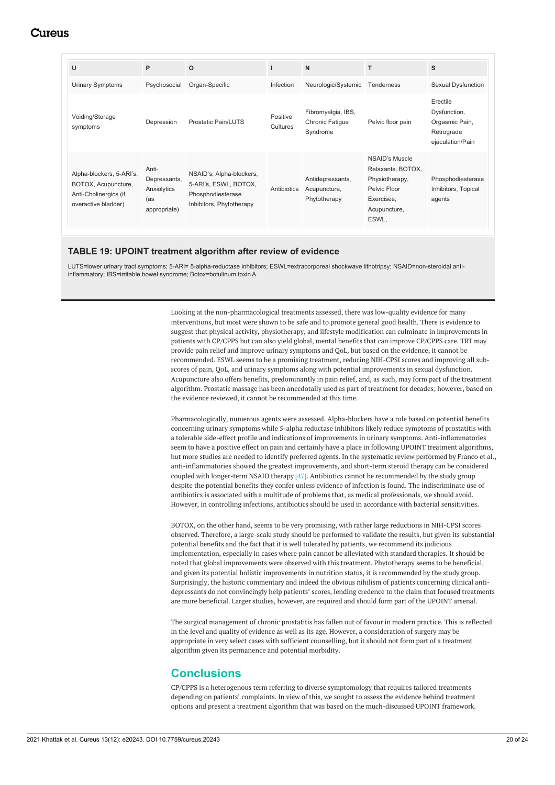| U                                                                                               | P                                                           | $\Omega$                                                                                           |                      | N                                                 |                                                                                                              | S                                                                            |
|-------------------------------------------------------------------------------------------------|-------------------------------------------------------------|----------------------------------------------------------------------------------------------------|----------------------|---------------------------------------------------|--------------------------------------------------------------------------------------------------------------|------------------------------------------------------------------------------|
| <b>Urinary Symptoms</b>                                                                         | Psychosocial                                                | Organ-Specific                                                                                     | Infection            | Neurologic/Systemic                               | Tenderness                                                                                                   | Sexual Dysfunction                                                           |
| Voiding/Storage<br>symptoms                                                                     | Depression                                                  | <b>Prostatic Pain/LUTS</b>                                                                         | Positive<br>Cultures | Fibromyalgia, IBS,<br>Chronic Fatigue<br>Syndrome | Pelvic floor pain                                                                                            | Erectile<br>Dysfunction,<br>Orgasmic Pain,<br>Retrograde<br>ejaculation/Pain |
| Alpha-blockers, 5-ARI's,<br>BOTOX, Acupuncture,<br>Anti-Cholinergics (if<br>overactive bladder) | Anti-<br>Depressants,<br>Anxiolytics<br>(as<br>appropriate) | NSAID's, Alpha-blockers,<br>5-ARI's, ESWL, BOTOX,<br>Phosphodiesterase<br>Inhibitors, Phytotherapy | Antibiotics          | Antidepressants,<br>Acupuncture,<br>Phytotherapy  | NSAID's Muscle<br>Relaxants, BOTOX,<br>Physiotherapy,<br>Pelvic Floor<br>Exercises,<br>Acupuncture,<br>ESWL, | Phosphodiesterase<br>Inhibitors, Topical<br>agents                           |

### **TABLE 19: UPOINT treatment algorithm after review of evidence**

LUTS=lower urinary tract symptoms; 5-ARI= 5-alpha-reductase inhibitors; ESWL=extracorporeal shockwave lithotripsy; NSAID=non-steroidal antiinflammatory; IBS=irritable bowel syndrome; Botox=botulinum toxin A

> Looking at the non-pharmacological treatments assessed, there was low-quality evidence for many interventions, but most were shown to be safe and to promote general good health. There is evidence to suggest that physical activity, physiotherapy, and lifestyle modification can culminate in improvements in patients with CP/CPPS but can also yield global, mental benefits that can improve CP/CPPS care. TRT may provide pain relief and improve urinary symptoms and QoL, but based on the evidence, it cannot be recommended. ESWL seems to be a promising treatment, reducing NIH-CPSI scores and improving all subscores of pain, QoL, and urinary symptoms along with potential improvements in sexual dysfunction. Acupuncture also offers benefits, predominantly in pain relief, and, as such, may form part of the treatment algorithm. Prostatic massage has been anecdotally used as part of treatment for decades; however, based on the evidence reviewed, it cannot be recommended at this time.

Pharmacologically, numerous agents were assessed. Alpha-blockers have a role based on potential benefits concerning urinary symptoms while 5-alpha reductase inhibitors likely reduce symptoms of prostatitis with a tolerable side-effect profile and indications of improvements in urinary symptoms. Anti-inflammatories seem to have a positive effect on pain and certainly have a place in following UPOINT treatment algorithms, but more studies are needed to identify preferred agents. In the systematic review performed by Franco et al., anti-inflammatories showed the greatest improvements, and short-term steroid therapy can be considered coupled with longer-term NSAID therapy [47]. Antibiotics cannot be recommended by the study group despite the potential benefits they confer unless evidence of infection is found. The indiscriminate use of antibiotics is associated with a multitude of problems that, as medical professionals, we should avoid. However, in controlling infections, antibiotics should be used in accordance with bacterial sensitivities.

BOTOX, on the other hand, seems to be very promising, with rather large reductions in NIH-CPSI scores observed. Therefore, a large-scale study should be performed to validate the results, but given its substantial potential benefits and the fact that it is well tolerated by patients, we recommend its judicious implementation, especially in cases where pain cannot be alleviated with standard therapies. It should be noted that global improvements were observed with this treatment. Phytotherapy seems to be beneficial, and given its potential holistic improvements in nutrition status, it is recommended by the study group. Surprisingly, the historic commentary and indeed the obvious nihilism of patients concerning clinical antidepressants do not convincingly help patients' scores, lending credence to the claim that focused treatments are more beneficial. Larger studies, however, are required and should form part of the UPOINT arsenal.

The surgical management of chronic prostatitis has fallen out of favour in modern practice. This is reflected in the level and quality of evidence as well as its age. However, a consideration of surgery may be appropriate in very select cases with sufficient counselling, but it should not form part of a treatment algorithm given its permanence and potential morbidity.

# **Conclusions**

CP/CPPS is a heterogenous term referring to diverse symptomology that requires tailored treatments depending on patients' complaints. In view of this, we sought to assess the evidence behind treatment options and present a treatment algorithm that was based on the much-discussed UPOINT framework.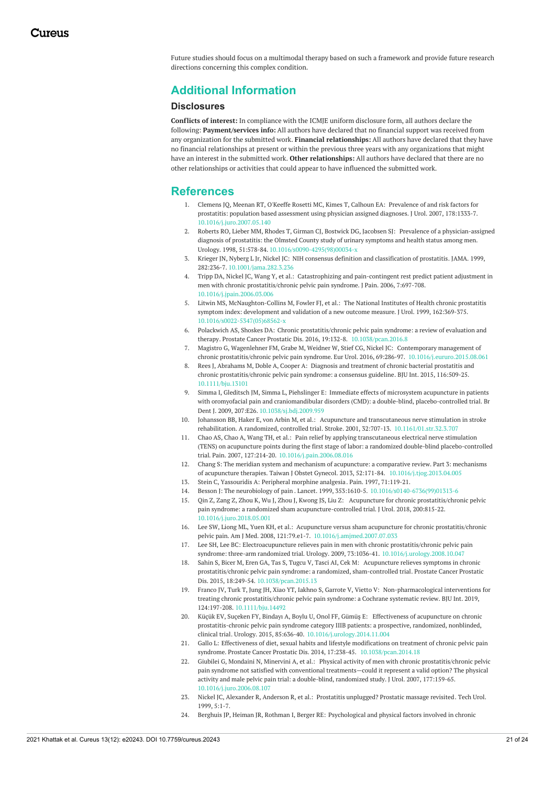Future studies should focus on a multimodal therapy based on such a framework and provide future research directions concerning this complex condition.

# **Additional Information**

### **Disclosures**

**Conflicts of interest:** In compliance with the ICMJE uniform disclosure form, all authors declare the following: **Payment/services info:** All authors have declared that no financial support was received from any organization for the submitted work. **Financial relationships:** All authors have declared that they have no financial relationships at present or within the previous three years with any organizations that might have an interest in the submitted work. **Other relationships:** All authors have declared that there are no other relationships or activities that could appear to have influenced the submitted work.

# **References**

- 1. Clemens JQ, Meenan RT, O'Keeffe Rosetti MC, Kimes T, Calhoun EA: Prevalence of and risk factors for prostatitis: population based assessment using physician assigned diagnoses. J Urol. 2007, [178:1333-7.](https://dx.doi.org/10.1016/j.juro.2007.05.140) [10.1016/j.juro.2007.05.140](https://dx.doi.org/10.1016/j.juro.2007.05.140)
- 2. Roberts RO, Lieber MM, Rhodes T, Girman CJ, Bostwick DG, Jacobsen SJ: Prevalence of a [physician-assigned](https://dx.doi.org/10.1016/s0090-4295(98)00034-x) diagnosis of prostatitis: the Olmsted County study of urinary symptoms and health status among men. Urology. 1998, 51:578-84. [10.1016/s0090-4295\(98\)00034-x](https://dx.doi.org/10.1016/s0090-4295(98)00034-x)
- 3. Krieger JN, Nyberg L Jr, Nickel JC: NIH consensus definition and [classification](https://dx.doi.org/10.1001/jama.282.3.236) of prostatitis. JAMA. 1999, 282:236-7. [10.1001/jama.282.3.236](https://dx.doi.org/10.1001/jama.282.3.236)
- 4. Tripp DA, Nickel JC, Wang Y, et al.: Catastrophizing and pain-contingent rest predict patient adjustment in men with chronic [prostatitis/chronic](https://dx.doi.org/10.1016/j.jpain.2006.03.006) pelvic pain syndrome. J Pain. 2006, 7:697-708. [10.1016/j.jpain.2006.03.006](https://dx.doi.org/10.1016/j.jpain.2006.03.006)
- 5. Litwin MS, [McNaughton-Collins](https://dx.doi.org/10.1016/s0022-5347(05)68562-x) M, Fowler FJ, et al.: The National Institutes of Health chronic prostatitis symptom index: development and validation of a new outcome measure. J Urol. 1999, 162:369-375. [10.1016/s0022-5347\(05\)68562-x](https://dx.doi.org/10.1016/s0022-5347(05)68562-x)
- Polackwich AS, Shoskes DA: Chronic prostatitis/chronic pelvic pain syndrome: a review of evaluation and therapy. Prostate Cancer Prostatic Dis. 2016, 19:132-8. [10.1038/pcan.2016.8](https://dx.doi.org/10.1038/pcan.2016.8)
- 7. Magistro G, Wagenlehner FM, Grabe M, Weidner W, Stief CG, Nickel JC: Contemporary management of chronic prostatitis/chronic pelvic pain syndrome. Eur Urol. 2016, 69:286-97. [10.1016/j.eururo.2015.08.061](https://dx.doi.org/10.1016/j.eururo.2015.08.061)
- 8. Rees J, Abrahams M, Doble A, Cooper A: Diagnosis and treatment of chronic bacterial prostatitis and chronic [prostatitis/chronic](https://dx.doi.org/10.1111/bju.13101) pelvic pain syndrome: a consensus guideline. BJU Int. 2015, 116:509-25. [10.1111/bju.13101](https://dx.doi.org/10.1111/bju.13101)
- 9. Simma I, Gleditsch JM, Simma L, Piehslinger E: Immediate effects of microsystem acupuncture in patients with oromyofacial pain and craniomandibular disorders (CMD): a double-blind, [placebo-controlled](https://dx.doi.org/10.1038/sj.bdj.2009.959) trial. Br Dent J. 2009, 207:E26. [10.1038/sj.bdj.2009.959](https://dx.doi.org/10.1038/sj.bdj.2009.959)
- 10. Johansson BB, Haker E, von Arbin M, et al.: Acupuncture and transcutaneous nerve stimulation in stroke rehabilitation. A randomized, controlled trial. Stroke. 2001, 32:707-13. [10.1161/01.str.32.3.707](https://dx.doi.org/10.1161/01.str.32.3.707)
- 11. Chao AS, Chao A, Wang TH, et al.: Pain relief by applying transcutaneous electrical nerve stimulation (TENS) on acupuncture points during the first stage of labor: a randomized double-blind placebo-controlled trial. Pain. 2007, 127:214-20. [10.1016/j.pain.2006.08.016](https://dx.doi.org/10.1016/j.pain.2006.08.016)
- 12. Chang S: The meridian system and mechanism of acupuncture: a comparative review. Part 3: mechanisms of acupuncture therapies. Taiwan J Obstet Gynecol. 2013, 52:171-84. [10.1016/j.tjog.2013.04.005](https://dx.doi.org/10.1016/j.tjog.2013.04.005)
- 13. Stein C, Yassouridis A: [Peripheral](https://pubmed.ncbi.nlm.nih.gov/9211471/) morphine analgesia. Pain. 1997, 71:119-21.
- 14. Besson J: The [neurobiology](https://dx.doi.org/10.1016/s0140-6736(99)01313-6) of pain . Lancet. 1999, 353:1610-5. [10.1016/s0140-6736\(99\)01313-6](https://dx.doi.org/10.1016/s0140-6736(99)01313-6)
- 15. Qin Z, Zang Z, Zhou K, Wu J, Zhou J, Kwong JS, Liu Z: Acupuncture for chronic prostatitis/chronic pelvic pain syndrome: a randomized sham [acupuncture-controlled](https://dx.doi.org/10.1016/j.juro.2018.05.001) trial. J Urol. 2018, 200:815-22. [10.1016/j.juro.2018.05.001](https://dx.doi.org/10.1016/j.juro.2018.05.001)
- 16. Lee SW, Liong ML, Yuen KH, et al.: Acupuncture versus sham acupuncture for chronic prostatitis/chronic pelvic pain. Am J Med. 2008, 121:79.e1-7. [10.1016/j.amjmed.2007.07.033](https://dx.doi.org/10.1016/j.amjmed.2007.07.033)
- 17. Lee SH, Lee BC: Electroacupuncture relieves pain in men with chronic prostatitis/chronic pelvic pain syndrome: three-arm randomized trial. Urology. 2009, 73:1036-41. [10.1016/j.urology.2008.10.047](https://dx.doi.org/10.1016/j.urology.2008.10.047)
- 18. Sahin S, Bicer M, Eren GA, Tas S, Tugcu V, Tasci AI, Cek M: Acupuncture relieves symptoms in chronic [prostatitis/chronic](https://dx.doi.org/10.1038/pcan.2015.13) pelvic pain syndrome: a randomized, sham-controlled trial. Prostate Cancer Prostatic Dis. 2015, 18:249-54. [10.1038/pcan.2015.13](https://dx.doi.org/10.1038/pcan.2015.13)
- 19. Franco JV, Turk T, Jung JH, Xiao YT, Iakhno S, Garrote V, Vietto V: [Non-pharmacological](https://dx.doi.org/10.1111/bju.14492) interventions for treating chronic prostatitis/chronic pelvic pain syndrome: a Cochrane systematic review. BJU Int. 2019, 124:197-208. [10.1111/bju.14492](https://dx.doi.org/10.1111/bju.14492)
- 20. Küçük EV, Suçeken FY, Bindayı A, Boylu U, Onol FF, Gümüş E: Effectiveness of acupuncture on chronic prostatitis-chronic pelvic pain syndrome category IIIB patients: a prospective, randomized, nonblinded, clinical trial. Urology. 2015, 85:636-40. [10.1016/j.urology.2014.11.004](https://dx.doi.org/10.1016/j.urology.2014.11.004)
- 21. Gallo L: Effectiveness of diet, sexual habits and lifestyle modifications on treatment of chronic pelvic pain syndrome. Prostate Cancer Prostatic Dis. 2014, 17:238-45. [10.1038/pcan.2014.18](https://dx.doi.org/10.1038/pcan.2014.18)
- 22. Giubilei G, Mondaini N, Minervini A, et al.: Physical activity of men with chronic [prostatitis/chronic](https://dx.doi.org/10.1016/j.juro.2006.08.107) pelvic pain syndrome not satisfied with conventional treatments—could it represent a valid option? The physical activity and male pelvic pain trial: a double-blind, randomized study. J Urol. 2007, 177:159-65. [10.1016/j.juro.2006.08.107](https://dx.doi.org/10.1016/j.juro.2006.08.107)
- 23. Nickel JC, Alexander R, Anderson R, et al.: Prostatitis [unplugged?](https://pubmed.ncbi.nlm.nih.gov/10374787/) Prostatic massage revisited. Tech Urol. 1999, 5:1-7.
- 24. Berghuis JP, Heiman JR, Rothman I, Berger RE: Psychological and physical factors involved in chronic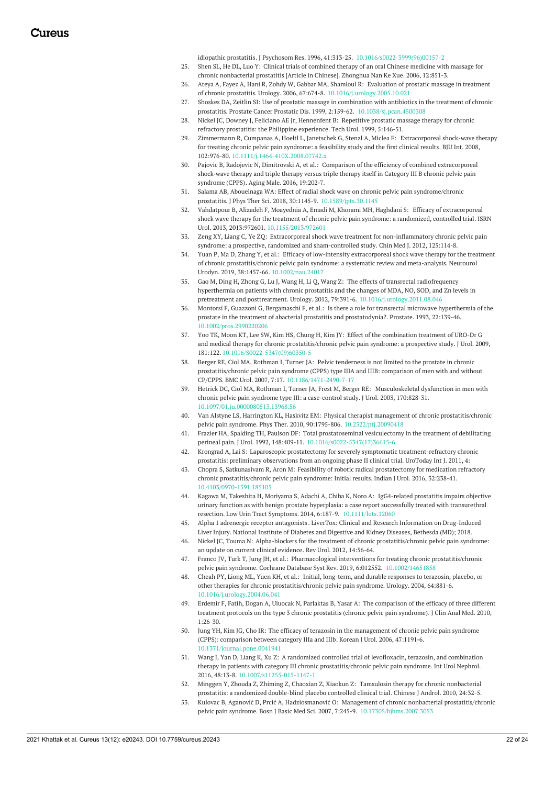idiopathic prostatitis. J Psychosom Res. 1996, 41:313-25. [10.1016/s0022-3999\(96\)00157-2](https://dx.doi.org/10.1016/s0022-3999(96)00157-2)

- 25. Shen SL, He DL, Luo Y: Clinical trials of combined therapy of an oral Chinese medicine with massage for chronic [nonbacterial](https://pubmed.ncbi.nlm.nih.gov/17009541/) prostatitis [Article in Chinese]. Zhonghua Nan Ke Xue. 2006, 12:851-3.
- 26. Ateya A, Fayez A, Hani R, Zohdy W, Gabbar MA, Shamloul R: Evaluation of prostatic massage in treatment of chronic prostatitis. Urology. 2006, 67:674-8. [10.1016/j.urology.2005.10.021](https://dx.doi.org/10.1016/j.urology.2005.10.021)
- 27. Shoskes DA, Zeitlin SI: Use of prostatic massage in combination with antibiotics in the treatment of chronic prostatitis. Prostate Cancer Prostatic Dis. 1999, 2:159-62. [10.1038/sj.pcan.4500308](https://dx.doi.org/10.1038/sj.pcan.4500308)
- 28. Nickel JC, Downey J, Feliciano AE Jr, [Hennenfent](https://pubmed.ncbi.nlm.nih.gov/10527258/) B: Repetitive prostatic massage therapy for chronic refractory prostatitis: the Philippine experience. Tech Urol. 1999, 5:146-51.
- 29. Zimmermann R, Cumpanas A, Hoeltl L, Janetschek G, Stenzl A, Miclea F: [Extracorporeal](https://dx.doi.org/10.1111/j.1464-410X.2008.07742.x) shock-wave therapy for treating chronic pelvic pain syndrome: a feasibility study and the first clinical results. BJU Int. 2008, 102:976-80. [10.1111/j.1464-410X.2008.07742.x](https://dx.doi.org/10.1111/j.1464-410X.2008.07742.x)
- 30. Pajovic B, Radojevic N, Dimitrovski A, et al.: Comparison of the efficiency of combined [extracorporeal](https://pubmed.ncbi.nlm.nih.gov/27380504/) shock‐wave therapy and triple therapy versus triple therapy itself in Category III B chronic pelvic pain syndrome (CPPS). Aging Male. 2016, 19:202‐7.
- 31. Salama AB, Abouelnaga WA: Effect of radial shock wave on chronic pelvic pain syndrome/chronic prostatitis. J Phys Ther Sci. 2018, 30:1145-9. [10.1589/jpts.30.1145](https://dx.doi.org/10.1589/jpts.30.1145)
- 32. Vahdatpour B, Alizadeh F, Moayednia A, Emadi M, Khorami MH, Haghdani S: Efficacy of [extracorporeal](https://dx.doi.org/10.1155/2013/972601) shock wave therapy for the treatment of chronic pelvic pain syndrome: a randomized, controlled trial. ISRN Urol. 2013, 2013:972601. [10.1155/2013/972601](https://dx.doi.org/10.1155/2013/972601)
- 33. Zeng XY, Liang C, Ye ZQ: Extracorporeal shock wave treatment for [non-inflammatory](https://pubmed.ncbi.nlm.nih.gov/22340476/) chronic pelvic pain syndrome: a prospective, randomized and sham-controlled study. Chin Med J. 2012, 125:114-8.
- 34. Yuan P, Ma D, Zhang Y, et al.: Efficacy of low-intensity extracorporeal shock wave therapy for the treatment of chronic [prostatitis/chronic](https://dx.doi.org/10.1002/nau.24017) pelvic pain syndrome: a systematic review and meta-analysis. Neurourol Urodyn. 2019, 38:1457-66. [10.1002/nau.24017](https://dx.doi.org/10.1002/nau.24017)
- 35. Gao M, Ding H, Zhong G, Lu J, Wang H, Li Q, Wang Z: The effects of transrectal radiofrequency hyperthermia on patients with chronic prostatitis and the changes of MDA, NO, SOD, and Zn levels in pretreatment and posttreatment. Urology. 2012, 79:391-6. [10.1016/j.urology.2011.08.046](https://dx.doi.org/10.1016/j.urology.2011.08.046)
- 36. Montorsi F, Guazzoni G, Bergamaschi F, et al.: Is there a role for transrectal microwave hyperthermia of the prostate in the treatment of abacterial prostatitis and [prostatodynia?.](https://dx.doi.org/10.1002/pros.2990220206) Prostate. 1993, 22:139-46. [10.1002/pros.2990220206](https://dx.doi.org/10.1002/pros.2990220206)
- 37. Yoo TK, Moon KT, Lee SW, Kim HS, Chung H, Kim JY: Effect of the combination treatment of URO-Dr G and medical therapy for chronic [prostatitis/chronic](https://dx.doi.org/10.1016/S0022-5347(09)60350-5) pelvic pain syndrome: a prospective study. J Urol. 2009, 181:122. [10.1016/S0022-5347\(09\)60350-5](https://dx.doi.org/10.1016/S0022-5347(09)60350-5)
- 38. Berger RE, Ciol MA, Rothman I, Turner JA: Pelvic tenderness is not limited to the prostate in chronic prostatitis/chronic pelvic pain syndrome (CPPS) type IIIA and IIIB: comparison of men with and without CP/CPPS. BMC Urol. 2007, 7:17. [10.1186/1471-2490-7-17](https://dx.doi.org/10.1186/1471-2490-7-17)
- 39. Hetrick DC, Ciol MA, Rothman I, Turner JA, Frest M, Berger RE: [Musculoskeletal](https://dx.doi.org/10.1097/01.ju.0000080513.13968.56) dysfunction in men with chronic pelvic pain syndrome type III: a case-control study. J Urol. 2003, 170:828-31. [10.1097/01.ju.0000080513.13968.56](https://dx.doi.org/10.1097/01.ju.0000080513.13968.56)
- 40. Van Alstyne LS, Harrington KL, Haskvitz EM: Physical therapist management of chronic prostatitis/chronic pelvic pain syndrome. Phys Ther. 2010, 90:1795-806. [10.2522/ptj.20090418](https://dx.doi.org/10.2522/ptj.20090418)
- 41. Frazier HA, Spalding TH, Paulson DF: Total prostatoseminal vesiculectomy in the treatment of debilitating perineal pain. J Urol. 1992, 148:409-11. [10.1016/s0022-5347\(17\)36615-6](https://dx.doi.org/10.1016/s0022-5347(17)36615-6)
- 42. Krongrad A, Lai S: Laparoscopic prostatectomy for severely symptomatic [treatment-refractory](https://jhu.pure.elsevier.com/en/publications/laparoscopic-prostatectomy-for-severely-symptomatic-treatment-ref-6) chronic prostatitis: preliminary observations from an ongoing phase II clinical trial. UroToday Int J. 2011, 4:
- 43. Chopra S, Satkunasivam R, Aron M: Feasibility of robotic radical prostatectomy for medication refractory chronic [prostatitis/chronic](https://dx.doi.org/10.4103/0970-1591.185105) pelvic pain syndrome: Initial results. Indian J Urol. 2016, 32:238-41. [10.4103/0970-1591.185105](https://dx.doi.org/10.4103/0970-1591.185105)
- 44. Kagawa M, Takeshita H, Moriyama S, Adachi A, Chiba K, Noro A: IgG4-related prostatitis impairs objective urinary function as with benign prostate hyperplasia: a case report successfully treated with transurethral resection. Low Urin Tract Symptoms. 2014, 6:187-9. [10.1111/luts.12060](https://dx.doi.org/10.1111/luts.12060)
- 45. Alpha 1 adrenergic receptor [antagonists](https://www.ncbi.nlm.nih.gov/books/NBK548719/) . LiverTox: Clinical and Research Information on Drug-Induced Liver Injury. National Institute of Diabetes and Digestive and Kidney Diseases, Bethesda (MD); 2018.
- 46. Nickel JC, Touma N: Alpha-blockers for the treatment of chronic [prostatitis/chronic](https://www.ncbi.nlm.nih.gov/pmc/articles/PMC3602728/) pelvic pain syndrome: an update on current clinical evidence. Rev Urol. 2012, 14:56-64.
- 47. Franco JV, Turk T, Jung JH, et al.: Pharmacological interventions for treating chronic [prostatitis/chronic](https://dx.doi.org/10.1002/14651858) pelvic pain syndrome. Cochrane Database Syst Rev. 2019, 6:012552. [10.1002/14651858](https://dx.doi.org/10.1002/14651858)
- 48. Cheah PY, Liong ML, Yuen KH, et al.: Initial, long-term, and durable responses to terazosin, placebo, or other therapies for chronic [prostatitis/chronic](https://dx.doi.org/10.1016/j.urology.2004.06.041) pelvic pain syndrome. Urology. 2004, 64:881-6. [10.1016/j.urology.2004.06.041](https://dx.doi.org/10.1016/j.urology.2004.06.041)
- 49. Erdemir F, Fatih, Dogan A, Uluocak N, Parlaktas B, Yasar A: The [comparison](https://www.ingentaconnect.com/content/doaj/13090720/2010/00000001/00000002/art00006;jsessionid=17rrcm0fbblok.x-ic-live-01) of the efficacy of three different treatment protocols on the type 3 chronic prostatitis (chronic pelvic pain syndrome). J Clin Anal Med. 2010, 1:26-30.
- 50. Jung YH, Kim JG, Cho IR: The efficacy of terazosin in the [management](https://dx.doi.org/10.1371/journal.pone.0041941) of chronic pelvic pain syndrome (CPPS): comparison between category IIIa and IIIb. Korean J Urol. 2006, 47:1191‐6. [10.1371/journal.pone.0041941](https://dx.doi.org/10.1371/journal.pone.0041941)
- 51. Wang J, Yan D, Liang K, Xu Z: A randomized controlled trial of levofloxacin, terazosin, and combination therapy in patients with category III chronic [prostatitis/chronic](https://dx.doi.org/10.1007/s11255-015-1147-1) pelvic pain syndrome. Int Urol Nephrol. 2016, 48:13-8. [10.1007/s11255-015-1147-1](https://dx.doi.org/10.1007/s11255-015-1147-1)
- 52. Minggen Y, Zhouda Z, Zhiming Z, Chaoxian Z, Xiaokun Z: Tamsulosin therapy for chronic nonbacterial prostatitis: a randomized [double-blind](https://www.cochranelibrary.com/central/doi/10.1002/central/CN-00897449/full) placebo controlled clinical trial. Chinese J Androl. 2010, 24:32-5.
- 53. Kulovac B, Aganović D, Prcić A, Hadziosmanović O: Management of chronic nonbacterial prostatitis/chronic pelvic pain syndrome. Bosn J Basic Med Sci. 2007, 7:245-9. [10.17305/bjbms.2007.3053](https://dx.doi.org/10.17305/bjbms.2007.3053)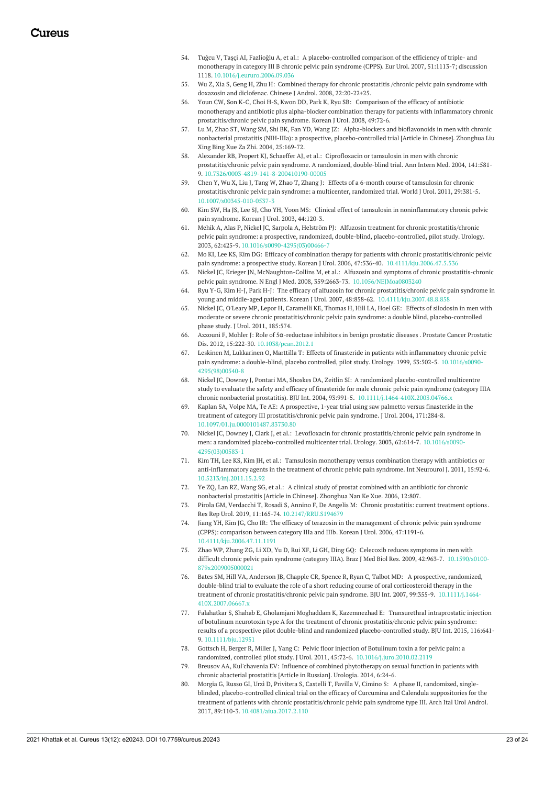- 54. Tuğcu V, Taşçi AI, Fazlioğlu A, et al.: A [placebo-controlled](https://dx.doi.org/10.1016/j.eururo.2006.09.036) comparison of the efficiency of triple- and monotherapy in category III B chronic pelvic pain syndrome (CPPS). Eur Urol. 2007, 51:1113-7; discussion 1118. [10.1016/j.eururo.2006.09.036](https://dx.doi.org/10.1016/j.eururo.2006.09.036)
- 55. Wu Z, Xia S, Geng H, Zhu H: Combined therapy for chronic prostatitis /chronic pelvic pain syndrome with doxazosin and diclofenac. Chinese J Androl. 2008, [22:20-22+25.](https://www.researchgate.net/publication/288537111_Combined_therapy_for_chronic_prostatitis_chronic_pelvic_pain_syndrome_with_doxazosin_and_diclofenac)
- 56. Youn CW, Son K-C, Choi H-S, Kwon DD, Park K, Ryu SB: Comparison of the efficacy of antibiotic monotherapy and antibiotic plus alpha-blocker combination therapy for patients with inflammatory chronic [prostatitis/chronic](https://synapse.koreamed.org/upload/SynapseData/PDFData/1020KJU/kju-49-72.pdf) pelvic pain syndrome. Korean J Urol. 2008, 49:72-6.
- 57. Lu M, Zhao ST, Wang SM, Shi BK, Fan YD, Wang JZ: Alpha-blockers and bioflavonoids in men with chronic nonbacterial prostatitis (NIH-IIIa): a prospective, [placebo-controlled](https://pubmed.ncbi.nlm.nih.gov/15132876/) trial [Article in Chinese]. Zhonghua Liu Xing Bing Xue Za Zhi. 2004, 25:169-72.
- 58. Alexander RB, Propert KJ, Schaeffer AJ, et al.: Ciprofloxacin or tamsulosin in men with chronic [prostatitis/chronic](https://dx.doi.org/10.7326/0003-4819-141-8-200410190-00005) pelvic pain syndrome. A randomized, double-blind trial. Ann Intern Med. 2004, 141:581- 9. [10.7326/0003-4819-141-8-200410190-00005](https://dx.doi.org/10.7326/0003-4819-141-8-200410190-00005)
- 59. Chen Y, Wu X, Liu J, Tang W, Zhao T, Zhang J: Effects of a 6-month course of tamsulosin for chronic [prostatitis/chronic](https://dx.doi.org/10.1007/s00345-010-0537-3) pelvic pain syndrome: a multicenter, randomized trial. World J Urol. 2011, 29:381-5. [10.1007/s00345-010-0537-3](https://dx.doi.org/10.1007/s00345-010-0537-3)
- 60. Kim SW, Ha JS, Lee SJ, Cho YH, Yoon MS: Clinical effect of tamsulosin in [noninflammatory](https://www.koreamed.org/SearchBasic.php?RID=1020KJU/2003.44.2.120&DT=1) chronic pelvic pain syndrome. Korean J Urol. 2003, 44:120-3.
- 61. Mehik A, Alas P, Nickel JC, Sarpola A, Helström PJ: Alfuzosin treatment for chronic prostatitis/chronic pelvic pain syndrome: a prospective, randomized, double-blind, [placebo-controlled,](https://dx.doi.org/10.1016/s0090-4295(03)00466-7) pilot study. Urology. 2003, 62:425-9. [10.1016/s0090-4295\(03\)00466-7](https://dx.doi.org/10.1016/s0090-4295(03)00466-7)
- 62. Mo KI, Lee KS, Kim DG: Efficacy of combination therapy for patients with chronic prostatitis/chronic pelvic pain syndrome: a prospective study. Korean J Urol. 2006, 47:536-40. [10.4111/kju.2006.47.5.536](https://dx.doi.org/10.4111/kju.2006.47.5.536)
- 63. Nickel JC, Krieger JN, McNaughton-Collins M, et al.: Alfuzosin and symptoms of chronic prostatitis-chronic pelvic pain syndrome. N Engl J Med. 2008, 359:2663-73. [10.1056/NEJMoa0803240](https://dx.doi.org/10.1056/NEJMoa0803240)
- 64. Ryu Y-G, Kim H-J, Park H-J: The efficacy of alfuzosin for chronic prostatitis/chronic pelvic pain syndrome in young and middle-aged patients. Korean J Urol. 2007, 48:858-62. [10.4111/kju.2007.48.8.858](https://dx.doi.org/10.4111/kju.2007.48.8.858)
- 65. Nickel JC, O'Leary MP, Lepor H, Caramelli KE, Thomas H, Hill LA, Hoel GE: Effects of silodosin in men with moderate or severe chronic prostatitis/chronic pelvic pain syndrome: a double blind, [placebo-controlled](https://www.researchgate.net/publication/251482648_1433_EFFECTS_OF_SILODOSIN_IN_MEN_WITH_MODERATE_OR_SEVERE_CHRONIC_PROSTATITISCHRONIC_PELVIC_PAIN_SYNDROME_A_DOUBLE-BLIND_PLACEBO-CONTROLLED_PHASE_2_STUDY) phase study. J Urol. 2011, 185:574.
- 66. Azzouni F, Mohler J: Role of 5α[-reductase](https://dx.doi.org/10.1038/pcan.2012.1) inhibitors in benign prostatic diseases . Prostate Cancer Prostatic Dis. 2012, 15:222-30. [10.1038/pcan.2012.1](https://dx.doi.org/10.1038/pcan.2012.1)
- 67. Leskinen M, Lukkarinen O, Marttilla T: Effects of finasteride in patients with inflammatory chronic pelvic pain syndrome: a double-blind, placebo controlled, pilot study. Urology. 1999, 53:502-5. [10.1016/s0090-](https://dx.doi.org/10.1016/s0090-4295(98)00540-8) [4295\(98\)00540-8](https://dx.doi.org/10.1016/s0090-4295(98)00540-8)
- 68. Nickel JC, Downey J, Pontari MA, Shoskes DA, Zeitlin SI: A randomized placebo-controlled multicentre study to evaluate the safety and efficacy of finasteride for male chronic pelvic pain syndrome (category IIIA chronic nonbacterial prostatitis). BJU Int. 2004, 93:991-5. [10.1111/j.1464-410X.2003.04766.x](https://dx.doi.org/10.1111/j.1464-410X.2003.04766.x)
- 69. Kaplan SA, Volpe MA, Te AE: A prospective, 1-year trial using saw palmetto versus finasteride in the treatment of category III [prostatitis/chronic](https://dx.doi.org/10.1097/01.ju.0000101487.83730.80) pelvic pain syndrome. J Urol. 2004, 171:284-8. [10.1097/01.ju.0000101487.83730.80](https://dx.doi.org/10.1097/01.ju.0000101487.83730.80)
- 70. Nickel JC, Downey J, Clark J, et al.: Levofloxacin for chronic [prostatitis/chronic](https://dx.doi.org/10.1016/s0090-4295(03)00583-1) pelvic pain syndrome in men: a randomized [placebo-controlled](https://dx.doi.org/10.1016/s0090-4295(03)00583-1) multicenter trial. Urology. 2003, 62:614-7. 10.1016/s0090- 4295(03)00583-1
- 71. Kim TH, Lee KS, Kim JH, et al.: Tamsulosin monotherapy versus combination therapy with antibiotics or anti-[inflammatory](https://dx.doi.org/10.5213/inj.2011.15.2.92) agents in the treatment of chronic pelvic pain syndrome. Int Neurourol J. 2011, 15:92-6. [10.5213/inj.2011.15.2.92](https://dx.doi.org/10.5213/inj.2011.15.2.92)
- 72. Ye ZQ, Lan RZ, Wang SG, et al.: A clinical study of prostat combined with an antibiotic for chronic [nonbacterial](https://pubmed.ncbi.nlm.nih.gov/17009533/) prostatitis [Article in Chinese]. Zhonghua Nan Ke Xue. 2006, 12:807.
- 73. Pirola GM, Verdacchi T, Rosadi S, Annino F, De Angelis M: Chronic [prostatitis:](https://dx.doi.org/10.2147/RRU.S194679) current treatment options . Res Rep Urol. 2019, 11:165-74. [10.2147/RRU.S194679](https://dx.doi.org/10.2147/RRU.S194679)
- 74. Jiang YH, Kim JG, Cho IR: The efficacy of terazosin in the [management](https://dx.doi.org/10.4111/kju.2006.47.11.1191) of chronic pelvic pain syndrome (CPPS): comparison between category IIIa and IIIb. Korean J Urol. 2006, 47:1191-6. [10.4111/kju.2006.47.11.1191](https://dx.doi.org/10.4111/kju.2006.47.11.1191)
- 75. Zhao WP, Zhang ZG, Li XD, Yu D, Rui XF, Li GH, Ding GQ: Celecoxib reduces [symptoms](https://dx.doi.org/10.1590/s0100-879x2009005000021) in men with difficult chronic pelvic pain syndrome (category IIIA). Braz J Med Biol Res. 2009, 42:963-7. 10.1590/s0100- [879x2009005000021](https://dx.doi.org/10.1590/s0100-879x2009005000021)
- 76. Bates SM, Hill VA, Anderson JB, Chapple CR, Spence R, Ryan C, Talbot MD: A prospective, randomized, double-blind trial to evaluate the role of a short reducing course of oral corticosteroid therapy in the treatment of chronic [prostatitis/chronic](https://dx.doi.org/10.1111/j.1464-410X.2007.06667.x) pelvic pain syndrome. BJU Int. 2007, 99:355-9. 10.1111/j.1464- [410X.2007.06667.x](https://dx.doi.org/10.1111/j.1464-410X.2007.06667.x)
- 77. Falahatkar S, Shahab E, Gholamjani Moghaddam K, Kazemnezhad E: Transurethral intraprostatic injection of botulinum neurotoxin type A for the treatment of chronic [prostatitis/chronic](https://dx.doi.org/10.1111/bju.12951) pelvic pain syndrome: results of a prospective pilot double-blind and randomized placebo-controlled study. BJU Int. 2015, 116:641- 9. [10.1111/bju.12951](https://dx.doi.org/10.1111/bju.12951)
- 78. Gottsch H, Berger R, Miller J, Yang C: Pelvic floor injection of Botulinum toxin a for pelvic pain: a randomized, controlled pilot study. J Urol. 2011, 45:72-6. [10.1016/j.juro.2010.02.2119](https://dx.doi.org/10.1016/j.juro.2010.02.2119)
- 79. Breusov AA, Kul'chavenia EV: Influence of combined [phytotherapy](https://pubmed.ncbi.nlm.nih.gov/25799722/) on sexual function in patients with chronic abacterial prostatitis [Article in Russian]. Urologia. 2014, 6:24-6.
- 80. Morgia G, Russo GI, Urzì D, Privitera S, Castelli T, Favilla V, Cimino S: A phase II, randomized, singleblinded, [placebo-controlled](https://dx.doi.org/10.4081/aiua.2017.2.110) clinical trial on the efficacy of Curcumina and Calendula suppositories for the treatment of patients with chronic prostatitis/chronic pelvic pain syndrome type III. Arch Ital Urol Androl. 2017, 89:110-3. [10.4081/aiua.2017.2.110](https://dx.doi.org/10.4081/aiua.2017.2.110)